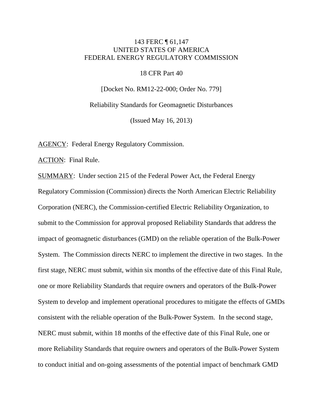## 143 FERC ¶ 61,147 UNITED STATES OF AMERICA FEDERAL ENERGY REGULATORY COMMISSION

### 18 CFR Part 40

[Docket No. RM12-22-000; Order No. 779]

Reliability Standards for Geomagnetic Disturbances

(Issued May 16, 2013)

AGENCY: Federal Energy Regulatory Commission.

ACTION: Final Rule.

SUMMARY: Under section 215 of the Federal Power Act, the Federal Energy Regulatory Commission (Commission) directs the North American Electric Reliability Corporation (NERC), the Commission-certified Electric Reliability Organization, to submit to the Commission for approval proposed Reliability Standards that address the impact of geomagnetic disturbances (GMD) on the reliable operation of the Bulk-Power System. The Commission directs NERC to implement the directive in two stages. In the first stage, NERC must submit, within six months of the effective date of this Final Rule, one or more Reliability Standards that require owners and operators of the Bulk-Power System to develop and implement operational procedures to mitigate the effects of GMDs consistent with the reliable operation of the Bulk-Power System. In the second stage, NERC must submit, within 18 months of the effective date of this Final Rule, one or more Reliability Standards that require owners and operators of the Bulk-Power System to conduct initial and on-going assessments of the potential impact of benchmark GMD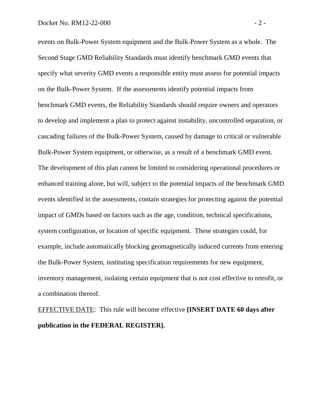events on Bulk-Power System equipment and the Bulk-Power System as a whole. The Second Stage GMD Reliability Standards must identify benchmark GMD events that specify what severity GMD events a responsible entity must assess for potential impacts on the Bulk-Power System. If the assessments identify potential impacts from benchmark GMD events, the Reliability Standards should require owners and operators to develop and implement a plan to protect against instability, uncontrolled separation, or cascading failures of the Bulk-Power System, caused by damage to critical or vulnerable Bulk-Power System equipment, or otherwise, as a result of a benchmark GMD event. The development of this plan cannot be limited to considering operational procedures or enhanced training alone, but will, subject to the potential impacts of the benchmark GMD events identified in the assessments, contain strategies for protecting against the potential impact of GMDs based on factors such as the age, condition, technical specifications, system configuration, or location of specific equipment. These strategies could, for example, include automatically blocking geomagnetically induced currents from entering the Bulk-Power System, instituting specification requirements for new equipment, inventory management, isolating certain equipment that is not cost effective to retrofit, or a combination thereof.

EFFECTIVE DATE: This rule will become effective **[INSERT DATE 60 days after publication in the FEDERAL REGISTER].**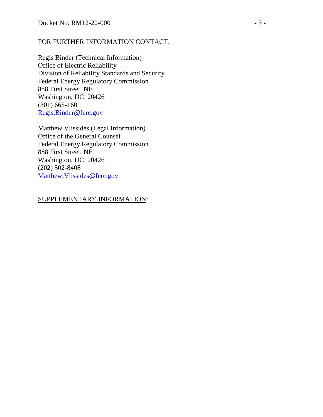### FOR FURTHER INFORMATION CONTACT:

Regis Binder (Technical Information) Office of Electric Reliability Division of Reliability Standards and Security Federal Energy Regulatory Commission 888 First Street, NE Washington, DC 20426 (301) 665-1601 [Regis.Binder@ferc.gov](mailto:Regis.Binder@ferc.gov)

Matthew Vlissides (Legal Information) Office of the General Counsel Federal Energy Regulatory Commission 888 First Street, NE Washington, DC 20426 (202) 502-8408 [Matthew.Vlissides@ferc.gov](mailto:Matthew.Vlissides@ferc.gov)

# SUPPLEMENTARY INFORMATION: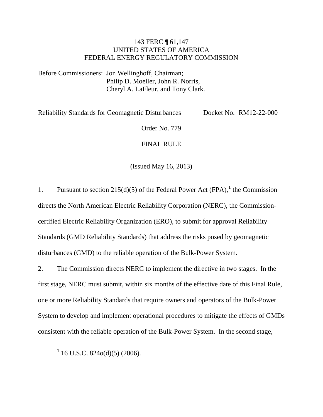## 143 FERC ¶ 61,147 UNITED STATES OF AMERICA FEDERAL ENERGY REGULATORY COMMISSION

Before Commissioners: Jon Wellinghoff, Chairman; Philip D. Moeller, John R. Norris, Cheryl A. LaFleur, and Tony Clark.

Reliability Standards for Geomagnetic Disturbances Docket No. RM12-22-000

Order No. 779

### FINAL RULE

(Issued May 16, 2013)

[1](#page-3-0). Pursuant to section  $215(d)(5)$  of the Federal Power Act (FPA),<sup>1</sup> the Commission directs the North American Electric Reliability Corporation (NERC), the Commissioncertified Electric Reliability Organization (ERO), to submit for approval Reliability Standards (GMD Reliability Standards) that address the risks posed by geomagnetic disturbances (GMD) to the reliable operation of the Bulk-Power System.

2. The Commission directs NERC to implement the directive in two stages. In the first stage, NERC must submit, within six months of the effective date of this Final Rule, one or more Reliability Standards that require owners and operators of the Bulk-Power System to develop and implement operational procedures to mitigate the effects of GMDs consistent with the reliable operation of the Bulk-Power System. In the second stage,

<span id="page-3-0"></span>**<sup>1</sup>** 16 U.S.C. 824o(d)(5) (2006).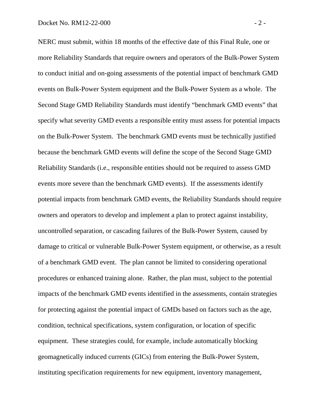NERC must submit, within 18 months of the effective date of this Final Rule, one or more Reliability Standards that require owners and operators of the Bulk-Power System to conduct initial and on-going assessments of the potential impact of benchmark GMD events on Bulk-Power System equipment and the Bulk-Power System as a whole. The Second Stage GMD Reliability Standards must identify "benchmark GMD events" that specify what severity GMD events a responsible entity must assess for potential impacts on the Bulk-Power System. The benchmark GMD events must be technically justified because the benchmark GMD events will define the scope of the Second Stage GMD Reliability Standards (i.e., responsible entities should not be required to assess GMD events more severe than the benchmark GMD events). If the assessments identify potential impacts from benchmark GMD events, the Reliability Standards should require owners and operators to develop and implement a plan to protect against instability, uncontrolled separation, or cascading failures of the Bulk-Power System, caused by damage to critical or vulnerable Bulk-Power System equipment, or otherwise, as a result of a benchmark GMD event. The plan cannot be limited to considering operational procedures or enhanced training alone. Rather, the plan must, subject to the potential impacts of the benchmark GMD events identified in the assessments, contain strategies for protecting against the potential impact of GMDs based on factors such as the age, condition, technical specifications, system configuration, or location of specific equipment. These strategies could, for example, include automatically blocking geomagnetically induced currents (GICs) from entering the Bulk-Power System, instituting specification requirements for new equipment, inventory management,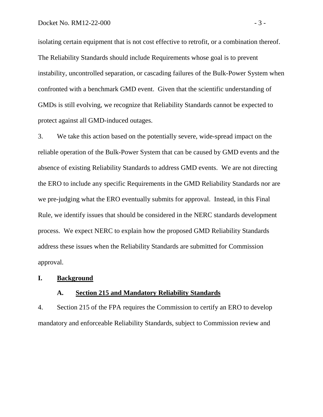isolating certain equipment that is not cost effective to retrofit, or a combination thereof. The Reliability Standards should include Requirements whose goal is to prevent instability, uncontrolled separation, or cascading failures of the Bulk-Power System when confronted with a benchmark GMD event. Given that the scientific understanding of GMDs is still evolving, we recognize that Reliability Standards cannot be expected to protect against all GMD-induced outages.

3. We take this action based on the potentially severe, wide-spread impact on the reliable operation of the Bulk-Power System that can be caused by GMD events and the absence of existing Reliability Standards to address GMD events. We are not directing the ERO to include any specific Requirements in the GMD Reliability Standards nor are we pre-judging what the ERO eventually submits for approval. Instead, in this Final Rule, we identify issues that should be considered in the NERC standards development process. We expect NERC to explain how the proposed GMD Reliability Standards address these issues when the Reliability Standards are submitted for Commission approval.

#### **I. Background**

#### **A. Section 215 and Mandatory Reliability Standards**

4. Section 215 of the FPA requires the Commission to certify an ERO to develop mandatory and enforceable Reliability Standards, subject to Commission review and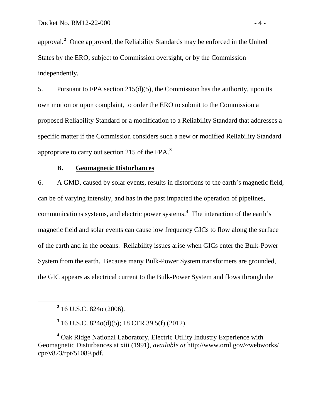approval.**[2](#page-6-0)** Once approved, the Reliability Standards may be enforced in the United States by the ERO, subject to Commission oversight, or by the Commission independently.

5. Pursuant to FPA section 215(d)(5), the Commission has the authority, upon its own motion or upon complaint, to order the ERO to submit to the Commission a proposed Reliability Standard or a modification to a Reliability Standard that addresses a specific matter if the Commission considers such a new or modified Reliability Standard appropriate to carry out section 215 of the FPA. **[3](#page-6-1)**

#### **B. Geomagnetic Disturbances**

6. A GMD, caused by solar events, results in distortions to the earth's magnetic field, can be of varying intensity, and has in the past impacted the operation of pipelines, communications systems, and electric power systems. **[4](#page-6-2)** The interaction of the earth's magnetic field and solar events can cause low frequency GICs to flow along the surface of the earth and in the oceans. Reliability issues arise when GICs enter the Bulk-Power System from the earth. Because many Bulk-Power System transformers are grounded, the GIC appears as electrical current to the Bulk-Power System and flows through the

**<sup>2</sup>** 16 U.S.C. 824o (2006).

**<sup>3</sup>** 16 U.S.C. 824o(d)(5); 18 CFR 39.5(f) (2012).

<span id="page-6-2"></span><span id="page-6-1"></span><span id="page-6-0"></span>**<sup>4</sup>** Oak Ridge National Laboratory, Electric Utility Industry Experience with Geomagnetic Disturbances at xiii (1991), *available at* http://www.ornl.gov/~webworks/ cpr/v823/rpt/51089.pdf.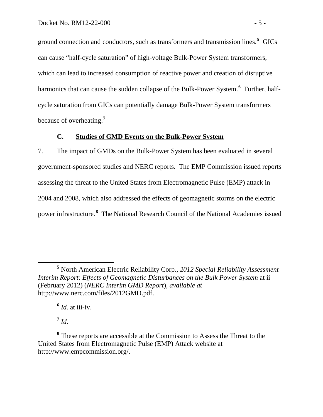ground connection and conductors, such as transformers and transmission lines.**[5](#page-7-0)** GICs can cause "half-cycle saturation" of high-voltage Bulk-Power System transformers, which can lead to increased consumption of reactive power and creation of disruptive harmonics that can cause the sudden collapse of the Bulk-Power System.**[6](#page-7-1)** Further, halfcycle saturation from GICs can potentially damage Bulk-Power System transformers because of overheating.**[7](#page-7-2)**

#### **C. Studies of GMD Events on the Bulk-Power System**

7. The impact of GMDs on the Bulk-Power System has been evaluated in several government-sponsored studies and NERC reports. The EMP Commission issued reports assessing the threat to the United States from Electromagnetic Pulse (EMP) attack in 2004 and 2008, which also addressed the effects of geomagnetic storms on the electric power infrastructure. **[8](#page-7-3)** The National Research Council of the National Academies issued

 $\frac{6}{1}$  *Id.* at iii-iv.

 $^7$  *Id.* 

<span id="page-7-0"></span>**<sup>5</sup>** North American Electric Reliability Corp., *2012 Special Reliability Assessment Interim Report: Effects of Geomagnetic Disturbances on the Bulk Power System* at ii (February 2012) (*NERC Interim GMD Report*), *available at*  http://www.nerc.com/files/2012GMD.pdf.

<span id="page-7-3"></span><span id="page-7-2"></span><span id="page-7-1"></span>**<sup>8</sup>** These reports are accessible at the Commission to Assess the Threat to the United States from Electromagnetic Pulse (EMP) Attack website at http://www.empcommission.org/.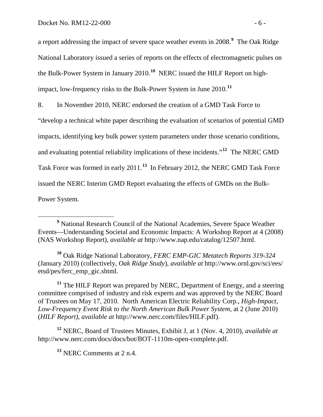a report addressing the impact of severe space weather events in 2008.**[9](#page-8-0)** The Oak Ridge National Laboratory issued a series of reports on the effects of electromagnetic pulses on the Bulk-Power System in January 2010.**[10](#page-8-1)** NERC issued the HILF Report on highimpact, low-frequency risks to the Bulk-Power System in June 2010.**[11](#page-8-2)**

8. In November 2010, NERC endorsed the creation of a GMD Task Force to

"develop a technical white paper describing the evaluation of scenarios of potential GMD

impacts, identifying key bulk power system parameters under those scenario conditions,

and evaluating potential reliability implications of these incidents." **[12](#page-8-3)** The NERC GMD

Task Force was formed in early 2011.**[13](#page-8-4)** In February 2012, the NERC GMD Task Force

issued the NERC Interim GMD Report evaluating the effects of GMDs on the Bulk-

Power System.

<span id="page-8-1"></span>**<sup>10</sup>** Oak Ridge National Laboratory, *FERC EMP-GIC Metatech Reports 319-324* (January 2010) (collectively, *Oak Ridge Study*), *available at* http://www.ornl.gov/sci/ees/ etsd/pes/ferc\_emp\_gic.shtml.

<span id="page-8-2"></span>**<sup>11</sup>** The HILF Report was prepared by NERC, Department of Energy, and a steering committee comprised of industry and risk experts and was approved by the NERC Board of Trustees on May 17, 2010. North American Electric Reliability Corp., *High-Impact, Low-Frequency Event Risk to the North American Bulk Power System*, at 2 (June 2010) (*HILF Report)*, *available at* http://www.nerc.com/files/HILF.pdf).

<span id="page-8-4"></span><span id="page-8-3"></span>**<sup>12</sup>** NERC, Board of Trustees Minutes, Exhibit J, at 1 (Nov. 4, 2010), *available at* http://www.nerc.com/docs/docs/bot/BOT-1110m-open-complete.pdf.

**<sup>13</sup>** NERC Comments at 2 n.4.

<span id="page-8-0"></span>**<sup>9</sup>** National Research Council of the National Academies, Severe Space Weather Events—Understanding Societal and Economic Impacts: A Workshop Report at 4 (2008) (NAS Workshop Report), *available at* http://www.nap.edu/catalog/12507.html.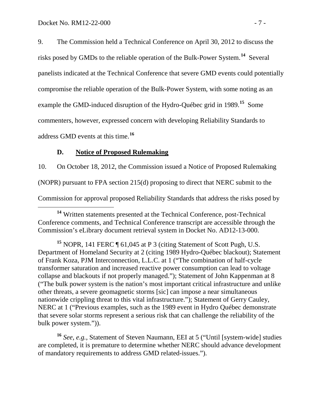9. The Commission held a Technical Conference on April 30, 2012 to discuss the risks posed by GMDs to the reliable operation of the Bulk-Power System.**[14](#page-9-0)** Several panelists indicated at the Technical Conference that severe GMD events could potentially compromise the reliable operation of the Bulk-Power System, with some noting as an example the GMD-induced disruption of the Hydro-Québec grid in 1989.**[15](#page-9-1)** Some commenters, however, expressed concern with developing Reliability Standards to address GMD events at this time.**[16](#page-9-2)**

#### **D. Notice of Proposed Rulemaking**

10. On October 18, 2012, the Commission issued a Notice of Proposed Rulemaking (NOPR) pursuant to FPA section 215(d) proposing to direct that NERC submit to the Commission for approval proposed Reliability Standards that address the risks posed by

<span id="page-9-2"></span>**<sup>16</sup>** *See*, *e.g.*, Statement of Steven Naumann, EEI at 5 ("Until [system-wide] studies are completed, it is premature to determine whether NERC should advance development of mandatory requirements to address GMD related-issues.").

<span id="page-9-0"></span>**<sup>14</sup>** Written statements presented at the Technical Conference, post-Technical Conference comments, and Technical Conference transcript are accessible through the Commission's eLibrary document retrieval system in Docket No. AD12-13-000.

<span id="page-9-1"></span>**<sup>15</sup>** NOPR, 141 FERC ¶ 61,045 at P 3 (citing Statement of Scott Pugh, U.S. Department of Homeland Security at 2 (citing 1989 Hydro-Québec blackout); Statement of Frank Koza, PJM Interconnection, L.L.C. at 1 ("The combination of half-cycle transformer saturation and increased reactive power consumption can lead to voltage collapse and blackouts if not properly managed."); Statement of John Kappenman at 8 ("The bulk power system is the nation's most important critical infrastructure and unlike other threats, a severe geomagnetic storms [sic] can impose a near simultaneous nationwide crippling threat to this vital infrastructure."); Statement of Gerry Cauley, NERC at 1 ("Previous examples, such as the 1989 event in Hydro Québec demonstrate that severe solar storms represent a serious risk that can challenge the reliability of the bulk power system.")).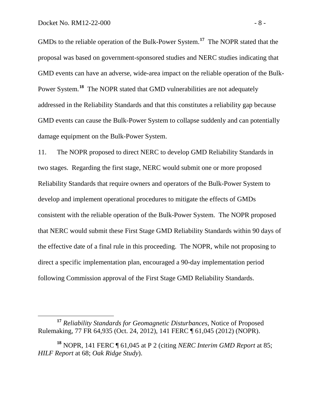GMDs to the reliable operation of the Bulk-Power System.**[17](#page-10-0)** The NOPR stated that the proposal was based on government-sponsored studies and NERC studies indicating that GMD events can have an adverse, wide-area impact on the reliable operation of the Bulk-Power System.<sup>[18](#page-10-1)</sup> The NOPR stated that GMD vulnerabilities are not adequately addressed in the Reliability Standards and that this constitutes a reliability gap because GMD events can cause the Bulk-Power System to collapse suddenly and can potentially damage equipment on the Bulk-Power System.

11. The NOPR proposed to direct NERC to develop GMD Reliability Standards in two stages. Regarding the first stage, NERC would submit one or more proposed Reliability Standards that require owners and operators of the Bulk-Power System to develop and implement operational procedures to mitigate the effects of GMDs consistent with the reliable operation of the Bulk-Power System. The NOPR proposed that NERC would submit these First Stage GMD Reliability Standards within 90 days of the effective date of a final rule in this proceeding. The NOPR, while not proposing to direct a specific implementation plan, encouraged a 90-day implementation period following Commission approval of the First Stage GMD Reliability Standards.

<span id="page-10-0"></span>**<sup>17</sup>** *Reliability Standards for Geomagnetic Disturbances*, Notice of Proposed Rulemaking, 77 FR 64,935 (Oct. 24, 2012), 141 FERC ¶ 61,045 (2012) (NOPR).

<span id="page-10-1"></span>**<sup>18</sup>** NOPR, 141 FERC ¶ 61,045 at P 2 (citing *NERC Interim GMD Report* at 85; *HILF Report* at 68; *Oak Ridge Study*).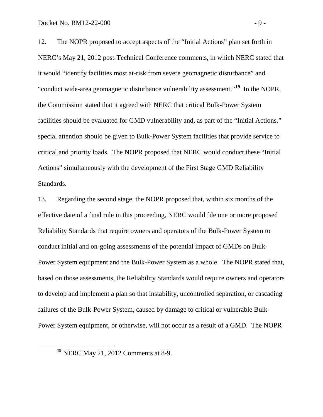12. The NOPR proposed to accept aspects of the "Initial Actions" plan set forth in NERC's May 21, 2012 post-Technical Conference comments, in which NERC stated that it would "identify facilities most at-risk from severe geomagnetic disturbance" and "conduct wide-area geomagnetic disturbance vulnerability assessment."<sup>[19](#page-11-0)</sup> In the NOPR, the Commission stated that it agreed with NERC that critical Bulk-Power System facilities should be evaluated for GMD vulnerability and, as part of the "Initial Actions," special attention should be given to Bulk-Power System facilities that provide service to critical and priority loads. The NOPR proposed that NERC would conduct these "Initial Actions" simultaneously with the development of the First Stage GMD Reliability Standards.

13. Regarding the second stage, the NOPR proposed that, within six months of the effective date of a final rule in this proceeding, NERC would file one or more proposed Reliability Standards that require owners and operators of the Bulk-Power System to conduct initial and on-going assessments of the potential impact of GMDs on Bulk-Power System equipment and the Bulk-Power System as a whole. The NOPR stated that, based on those assessments, the Reliability Standards would require owners and operators to develop and implement a plan so that instability, uncontrolled separation, or cascading failures of the Bulk-Power System, caused by damage to critical or vulnerable Bulk-Power System equipment, or otherwise, will not occur as a result of a GMD. The NOPR

<span id="page-11-0"></span>**<sup>19</sup>** NERC May 21, 2012 Comments at 8-9.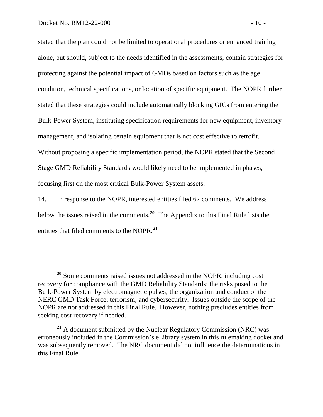stated that the plan could not be limited to operational procedures or enhanced training alone, but should, subject to the needs identified in the assessments, contain strategies for protecting against the potential impact of GMDs based on factors such as the age, condition, technical specifications, or location of specific equipment. The NOPR further stated that these strategies could include automatically blocking GICs from entering the Bulk-Power System, instituting specification requirements for new equipment, inventory management, and isolating certain equipment that is not cost effective to retrofit. Without proposing a specific implementation period, the NOPR stated that the Second Stage GMD Reliability Standards would likely need to be implemented in phases, focusing first on the most critical Bulk-Power System assets.

14. In response to the NOPR, interested entities filed 62 comments. We address below the issues raised in the comments.**[20](#page-12-0)** The Appendix to this Final Rule lists the entities that filed comments to the NOPR.**[21](#page-12-1)**

<span id="page-12-0"></span>**<sup>20</sup>** Some comments raised issues not addressed in the NOPR, including cost recovery for compliance with the GMD Reliability Standards; the risks posed to the Bulk-Power System by electromagnetic pulses; the organization and conduct of the NERC GMD Task Force; terrorism; and cybersecurity. Issues outside the scope of the NOPR are not addressed in this Final Rule. However, nothing precludes entities from seeking cost recovery if needed.

<span id="page-12-1"></span>**<sup>21</sup>** A document submitted by the Nuclear Regulatory Commission (NRC) was erroneously included in the Commission's eLibrary system in this rulemaking docket and was subsequently removed. The NRC document did not influence the determinations in this Final Rule.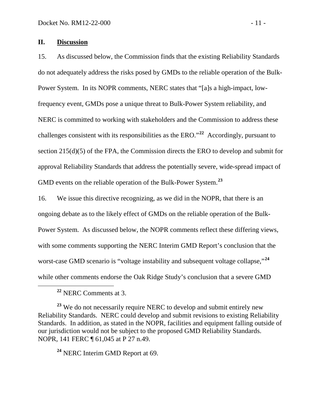#### **II. Discussion**

15. As discussed below, the Commission finds that the existing Reliability Standards do not adequately address the risks posed by GMDs to the reliable operation of the Bulk-Power System. In its NOPR comments, NERC states that "[a]s a high-impact, lowfrequency event, GMDs pose a unique threat to Bulk-Power System reliability, and NERC is committed to working with stakeholders and the Commission to address these challenges consistent with its responsibilities as the ERO." **[22](#page-13-0)** Accordingly, pursuant to section 215(d)(5) of the FPA, the Commission directs the ERO to develop and submit for approval Reliability Standards that address the potentially severe, wide-spread impact of GMD events on the reliable operation of the Bulk-Power System.**[23](#page-13-1)**

16. We issue this directive recognizing, as we did in the NOPR, that there is an ongoing debate as to the likely effect of GMDs on the reliable operation of the Bulk-Power System. As discussed below, the NOPR comments reflect these differing views, with some comments supporting the NERC Interim GMD Report's conclusion that the worst-case GMD scenario is "voltage instability and subsequent voltage collapse," **[24](#page-13-2)** while other comments endorse the Oak Ridge Study's conclusion that a severe GMD

**<sup>22</sup>** NERC Comments at 3.

<span id="page-13-1"></span><span id="page-13-0"></span><sup>23</sup> We do not necessarily require NERC to develop and submit entirely new Reliability Standards. NERC could develop and submit revisions to existing Reliability Standards. In addition, as stated in the NOPR, facilities and equipment falling outside of our jurisdiction would not be subject to the proposed GMD Reliability Standards. NOPR, 141 FERC ¶ 61,045 at P 27 n.49.

<span id="page-13-2"></span>**<sup>24</sup>** NERC Interim GMD Report at 69.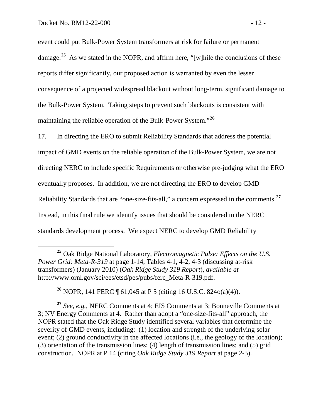event could put Bulk-Power System transformers at risk for failure or permanent damage.**[25](#page-14-0)** As we stated in the NOPR, and affirm here, "[w]hile the conclusions of these reports differ significantly, our proposed action is warranted by even the lesser consequence of a projected widespread blackout without long-term, significant damage to the Bulk-Power System. Taking steps to prevent such blackouts is consistent with maintaining the reliable operation of the Bulk-Power System."**[26](#page-14-1)**

17. In directing the ERO to submit Reliability Standards that address the potential impact of GMD events on the reliable operation of the Bulk-Power System, we are not directing NERC to include specific Requirements or otherwise pre-judging what the ERO eventually proposes. In addition, we are not directing the ERO to develop GMD Reliability Standards that are "one-size-fits-all," a concern expressed in the comments. **[27](#page-14-2)** Instead, in this final rule we identify issues that should be considered in the NERC standards development process. We expect NERC to develop GMD Reliability

<span id="page-14-0"></span> **<sup>25</sup>** Oak Ridge National Laboratory, *Electromagnetic Pulse: Effects on the U.S. Power Grid: Meta-R-319* at page 1-14, Tables 4-1, 4-2, 4-3 (discussing at-risk transformers) (January 2010) (*Oak Ridge Study 319 Report*), *available at* http://www.ornl.gov/sci/ees/etsd/pes/pubs/ferc\_Meta-R-319.pdf.

**<sup>26</sup>** NOPR, 141 FERC ¶ 61,045 at P 5 (citing 16 U.S.C. 824o(a)(4)).

<span id="page-14-2"></span><span id="page-14-1"></span>**<sup>27</sup>** *See*, *e.g.*, NERC Comments at 4; EIS Comments at 3; Bonneville Comments at 3; NV Energy Comments at 4. Rather than adopt a "one-size-fits-all" approach, the NOPR stated that the Oak Ridge Study identified several variables that determine the severity of GMD events, including: (1) location and strength of the underlying solar event; (2) ground conductivity in the affected locations (i.e., the geology of the location); (3) orientation of the transmission lines; (4) length of transmission lines; and (5) grid construction. NOPR at P 14 (citing *Oak Ridge Study 319 Report* at page 2-5).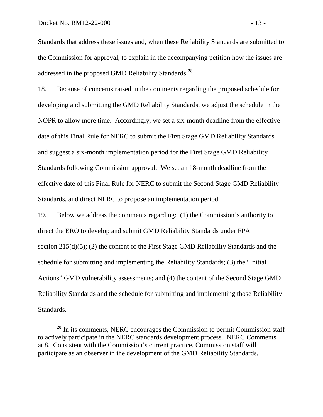Standards that address these issues and, when these Reliability Standards are submitted to the Commission for approval, to explain in the accompanying petition how the issues are addressed in the proposed GMD Reliability Standards.**[28](#page-15-0)**

18. Because of concerns raised in the comments regarding the proposed schedule for developing and submitting the GMD Reliability Standards, we adjust the schedule in the NOPR to allow more time. Accordingly, we set a six-month deadline from the effective date of this Final Rule for NERC to submit the First Stage GMD Reliability Standards and suggest a six-month implementation period for the First Stage GMD Reliability Standards following Commission approval. We set an 18-month deadline from the effective date of this Final Rule for NERC to submit the Second Stage GMD Reliability Standards, and direct NERC to propose an implementation period.

19. Below we address the comments regarding: (1) the Commission's authority to direct the ERO to develop and submit GMD Reliability Standards under FPA section 215(d)(5); (2) the content of the First Stage GMD Reliability Standards and the schedule for submitting and implementing the Reliability Standards; (3) the "Initial Actions" GMD vulnerability assessments; and (4) the content of the Second Stage GMD Reliability Standards and the schedule for submitting and implementing those Reliability Standards.

<span id="page-15-0"></span>**<sup>28</sup>** In its comments, NERC encourages the Commission to permit Commission staff to actively participate in the NERC standards development process. NERC Comments at 8. Consistent with the Commission's current practice, Commission staff will participate as an observer in the development of the GMD Reliability Standards.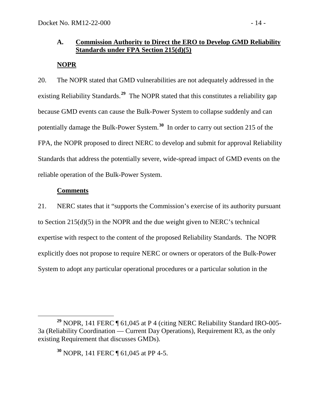### **A. Commission Authority to Direct the ERO to Develop GMD Reliability Standards under FPA Section 215(d)(5)**

# **NOPR**

20. The NOPR stated that GMD vulnerabilities are not adequately addressed in the existing Reliability Standards. **[29](#page-16-0)** The NOPR stated that this constitutes a reliability gap because GMD events can cause the Bulk-Power System to collapse suddenly and can potentially damage the Bulk-Power System.**[30](#page-16-1)** In order to carry out section 215 of the FPA, the NOPR proposed to direct NERC to develop and submit for approval Reliability Standards that address the potentially severe, wide-spread impact of GMD events on the reliable operation of the Bulk-Power System.

### **Comments**

21. NERC states that it "supports the Commission's exercise of its authority pursuant to Section 215(d)(5) in the NOPR and the due weight given to NERC's technical expertise with respect to the content of the proposed Reliability Standards. The NOPR explicitly does not propose to require NERC or owners or operators of the Bulk-Power System to adopt any particular operational procedures or a particular solution in the

<span id="page-16-1"></span><span id="page-16-0"></span>**<sup>29</sup>** NOPR, 141 FERC ¶ 61,045 at P 4 (citing NERC Reliability Standard IRO-005- 3a (Reliability Coordination — Current Day Operations), Requirement R3, as the only existing Requirement that discusses GMDs).

**<sup>30</sup>** NOPR, 141 FERC ¶ 61,045 at PP 4-5.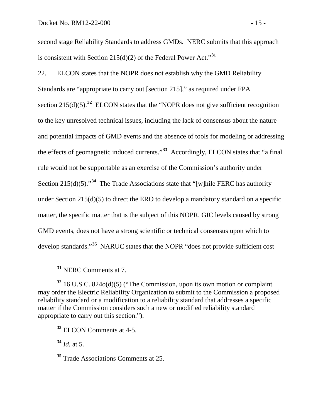second stage Reliability Standards to address GMDs. NERC submits that this approach is consistent with Section  $215(d)(2)$  of the Federal Power Act.<sup>[31](#page-17-0)</sup>

22. ELCON states that the NOPR does not establish why the GMD Reliability Standards are "appropriate to carry out [section 215]," as required under FPA section  $215(d)(5)$ .<sup>[32](#page-17-1)</sup> ELCON states that the "NOPR does not give sufficient recognition to the key unresolved technical issues, including the lack of consensus about the nature and potential impacts of GMD events and the absence of tools for modeling or addressing the effects of geomagnetic induced currents."**[33](#page-17-2)** Accordingly, ELCON states that "a final rule would not be supportable as an exercise of the Commission's authority under Section 215(d)(5)."**[34](#page-17-3)** The Trade Associations state that "[w]hile FERC has authority under Section 215(d)(5) to direct the ERO to develop a mandatory standard on a specific matter, the specific matter that is the subject of this NOPR, GIC levels caused by strong GMD events, does not have a strong scientific or technical consensus upon which to develop standards."**[35](#page-17-4)** NARUC states that the NOPR "does not provide sufficient cost

**<sup>31</sup>** NERC Comments at 7.

<span id="page-17-2"></span>**<sup>33</sup>** ELCON Comments at 4-5.

<span id="page-17-3"></span>**<sup>34</sup>** *Id.* at 5.

<span id="page-17-4"></span>**<sup>35</sup>** Trade Associations Comments at 25.

<span id="page-17-1"></span><span id="page-17-0"></span>**<sup>32</sup>** 16 U.S.C. 824o(d)(5) ("The Commission, upon its own motion or complaint may order the Electric Reliability Organization to submit to the Commission a proposed reliability standard or a modification to a reliability standard that addresses a specific matter if the Commission considers such a new or modified reliability standard appropriate to carry out this section.").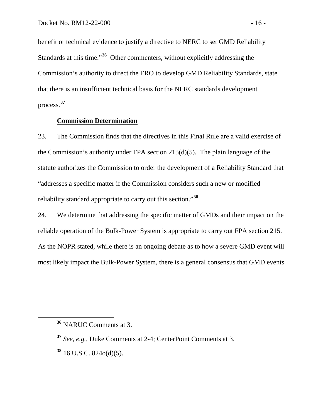benefit or technical evidence to justify a directive to NERC to set GMD Reliability Standards at this time."**[36](#page-18-0)** Other commenters, without explicitly addressing the Commission's authority to direct the ERO to develop GMD Reliability Standards, state that there is an insufficient technical basis for the NERC standards development process.**[37](#page-18-1)**

### **Commission Determination**

23. The Commission finds that the directives in this Final Rule are a valid exercise of the Commission's authority under FPA section 215(d)(5). The plain language of the statute authorizes the Commission to order the development of a Reliability Standard that "addresses a specific matter if the Commission considers such a new or modified reliability standard appropriate to carry out this section." **[38](#page-18-2)**

24. We determine that addressing the specific matter of GMDs and their impact on the reliable operation of the Bulk-Power System is appropriate to carry out FPA section 215. As the NOPR stated, while there is an ongoing debate as to how a severe GMD event will most likely impact the Bulk-Power System, there is a general consensus that GMD events

<span id="page-18-0"></span>**<sup>36</sup>** NARUC Comments at 3.

<span id="page-18-1"></span>**<sup>37</sup>** *See*, *e.g.*, Duke Comments at 2-4; CenterPoint Comments at 3.

<span id="page-18-2"></span>**<sup>38</sup>** 16 U.S.C. 824o(d)(5).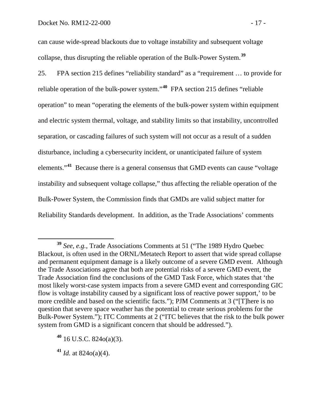can cause wide-spread blackouts due to voltage instability and subsequent voltage collapse, thus disrupting the reliable operation of the Bulk-Power System. **[39](#page-19-0)**

25. FPA section 215 defines "reliability standard" as a "requirement … to provide for reliable operation of the bulk-power system." **[40](#page-19-1)** FPA section 215 defines "reliable operation" to mean "operating the elements of the bulk-power system within equipment and electric system thermal, voltage, and stability limits so that instability, uncontrolled separation, or cascading failures of such system will not occur as a result of a sudden disturbance, including a cybersecurity incident, or unanticipated failure of system elements."**[41](#page-19-2)** Because there is a general consensus that GMD events can cause "voltage instability and subsequent voltage collapse," thus affecting the reliable operation of the Bulk-Power System, the Commission finds that GMDs are valid subject matter for Reliability Standards development. In addition, as the Trade Associations' comments

<span id="page-19-0"></span>**<sup>39</sup>** *See*, *e.g.*, Trade Associations Comments at 51 ("The 1989 Hydro Quebec Blackout, is often used in the ORNL/Metatech Report to assert that wide spread collapse and permanent equipment damage is a likely outcome of a severe GMD event. Although the Trade Associations agree that both are potential risks of a severe GMD event, the Trade Association find the conclusions of the GMD Task Force, which states that 'the most likely worst-case system impacts from a severe GMD event and corresponding GIC flow is voltage instability caused by a significant loss of reactive power support,' to be more credible and based on the scientific facts."); PJM Comments at 3 ("[T]here is no question that severe space weather has the potential to create serious problems for the Bulk-Power System."); ITC Comments at 2 ("ITC believes that the risk to the bulk power system from GMD is a significant concern that should be addressed.").

<span id="page-19-1"></span>**<sup>40</sup>** 16 U.S.C. 824o(a)(3).

<span id="page-19-2"></span> $41$  *Id.* at 824 $o(a)(4)$ .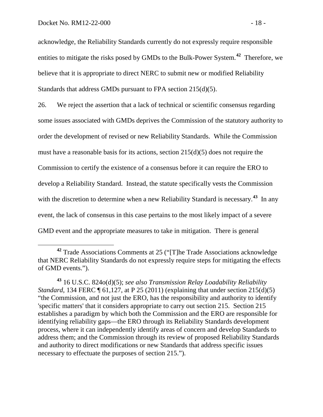acknowledge, the Reliability Standards currently do not expressly require responsible entities to mitigate the risks posed by GMDs to the Bulk-Power System.**[42](#page-20-0)** Therefore, we believe that it is appropriate to direct NERC to submit new or modified Reliability Standards that address GMDs pursuant to FPA section 215(d)(5).

26. We reject the assertion that a lack of technical or scientific consensus regarding some issues associated with GMDs deprives the Commission of the statutory authority to order the development of revised or new Reliability Standards. While the Commission must have a reasonable basis for its actions, section 215(d)(5) does not require the Commission to certify the existence of a consensus before it can require the ERO to develop a Reliability Standard. Instead, the statute specifically vests the Commission with the discretion to determine when a new Reliability Standard is necessary.<sup>[43](#page-20-1)</sup> In any event, the lack of consensus in this case pertains to the most likely impact of a severe GMD event and the appropriate measures to take in mitigation. There is general

<span id="page-20-0"></span>**<sup>42</sup>** Trade Associations Comments at 25 ("[T]he Trade Associations acknowledge that NERC Reliability Standards do not expressly require steps for mitigating the effects of GMD events.").

<span id="page-20-1"></span>**<sup>43</sup>** 16 U.S.C. 824o(d)(5); *see also Transmission Relay Loadability Reliability Standard*, 134 FERC ¶ 61,127, at P 25 (2011) (explaining that under section 215(d)(5) "the Commission, and not just the ERO, has the responsibility and authority to identify 'specific matters' that it considers appropriate to carry out section 215. Section 215 establishes a paradigm by which both the Commission and the ERO are responsible for identifying reliability gaps—the ERO through its Reliability Standards development process, where it can independently identify areas of concern and develop Standards to address them; and the Commission through its review of proposed Reliability Standards and authority to direct modifications or new Standards that address specific issues necessary to effectuate the purposes of section 215.").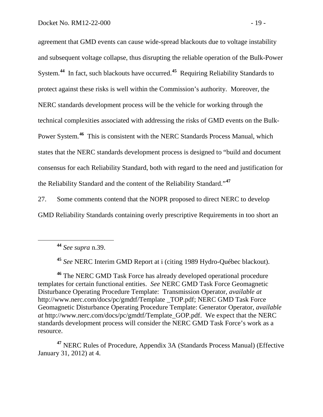agreement that GMD events can cause wide-spread blackouts due to voltage instability and subsequent voltage collapse, thus disrupting the reliable operation of the Bulk-Power System.**[44](#page-21-0)** In fact, such blackouts have occurred.**[45](#page-21-1)** Requiring Reliability Standards to protect against these risks is well within the Commission's authority. Moreover, the NERC standards development process will be the vehicle for working through the technical complexities associated with addressing the risks of GMD events on the Bulk-Power System.**[46](#page-21-2)** This is consistent with the NERC Standards Process Manual, which states that the NERC standards development process is designed to "build and document consensus for each Reliability Standard, both with regard to the need and justification for the Reliability Standard and the content of the Reliability Standard."**[47](#page-21-3)**

27. Some comments contend that the NOPR proposed to direct NERC to develop GMD Reliability Standards containing overly prescriptive Requirements in too short an

**<sup>44</sup>** *See supra* n.39.

**<sup>45</sup>** *See* NERC Interim GMD Report at i (citing 1989 Hydro-Québec blackout).

<span id="page-21-2"></span><span id="page-21-1"></span><span id="page-21-0"></span>**<sup>46</sup>** The NERC GMD Task Force has already developed operational procedure templates for certain functional entities. *See* NERC GMD Task Force Geomagnetic Disturbance Operating Procedure Template: Transmission Operator, *available at*  http://www.nerc.com/docs/pc/gmdtf/Template \_TOP.pdf; NERC GMD Task Force Geomagnetic Disturbance Operating Procedure Template: Generator Operator, *available at* http://www.nerc.com/docs/pc/gmdtf/Template\_GOP.pdf. We expect that the NERC standards development process will consider the NERC GMD Task Force's work as a resource.

<span id="page-21-3"></span>**<sup>47</sup>** NERC Rules of Procedure, Appendix 3A (Standards Process Manual) (Effective January 31, 2012) at 4.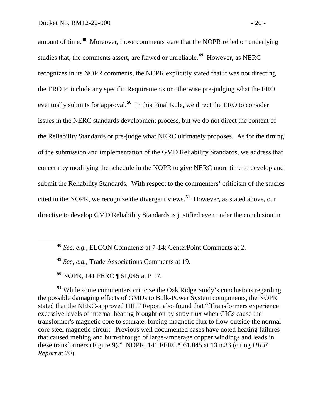amount of time.**[48](#page-22-0)** Moreover, those comments state that the NOPR relied on underlying studies that, the comments assert, are flawed or unreliable. **[49](#page-22-1)** However, as NERC recognizes in its NOPR comments, the NOPR explicitly stated that it was not directing the ERO to include any specific Requirements or otherwise pre-judging what the ERO eventually submits for approval.**[50](#page-22-2)** In this Final Rule, we direct the ERO to consider issues in the NERC standards development process, but we do not direct the content of the Reliability Standards or pre-judge what NERC ultimately proposes. As for the timing of the submission and implementation of the GMD Reliability Standards, we address that concern by modifying the schedule in the NOPR to give NERC more time to develop and submit the Reliability Standards. With respect to the commenters' criticism of the studies cited in the NOPR, we recognize the divergent views. **[51](#page-22-3)** However, as stated above, our directive to develop GMD Reliability Standards is justified even under the conclusion in

**<sup>50</sup>** NOPR, 141 FERC ¶ 61,045 at P 17.

<span id="page-22-3"></span><span id="page-22-2"></span><span id="page-22-1"></span><span id="page-22-0"></span>**<sup>51</sup>** While some commenters criticize the Oak Ridge Study's conclusions regarding the possible damaging effects of GMDs to Bulk-Power System components, the NOPR stated that the NERC-approved HILF Report also found that "[t]ransformers experience excessive levels of internal heating brought on by stray flux when GICs cause the transformer's magnetic core to saturate, forcing magnetic flux to flow outside the normal core steel magnetic circuit. Previous well documented cases have noted heating failures that caused melting and burn-through of large-amperage copper windings and leads in these transformers (Figure 9)." NOPR, 141 FERC ¶ 61,045 at 13 n.33 (citing *HILF Report* at 70).

**<sup>48</sup>** *See*, *e.g.,* ELCON Comments at 7-14; CenterPoint Comments at 2.

**<sup>49</sup>** *See*, *e.g.,* Trade Associations Comments at 19.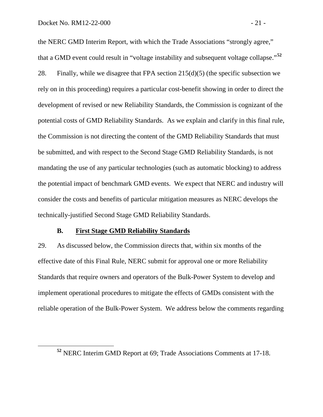the NERC GMD Interim Report, with which the Trade Associations "strongly agree," that a GMD event could result in "voltage instability and subsequent voltage collapse."**[52](#page-23-0)** 28. Finally, while we disagree that FPA section  $215(d)(5)$  (the specific subsection we rely on in this proceeding) requires a particular cost-benefit showing in order to direct the development of revised or new Reliability Standards, the Commission is cognizant of the potential costs of GMD Reliability Standards. As we explain and clarify in this final rule, the Commission is not directing the content of the GMD Reliability Standards that must be submitted, and with respect to the Second Stage GMD Reliability Standards, is not mandating the use of any particular technologies (such as automatic blocking) to address the potential impact of benchmark GMD events. We expect that NERC and industry will consider the costs and benefits of particular mitigation measures as NERC develops the technically-justified Second Stage GMD Reliability Standards.

#### **B. First Stage GMD Reliability Standards**

29. As discussed below, the Commission directs that, within six months of the effective date of this Final Rule, NERC submit for approval one or more Reliability Standards that require owners and operators of the Bulk-Power System to develop and implement operational procedures to mitigate the effects of GMDs consistent with the reliable operation of the Bulk-Power System. We address below the comments regarding

<span id="page-23-0"></span>**<sup>52</sup>** NERC Interim GMD Report at 69; Trade Associations Comments at 17-18.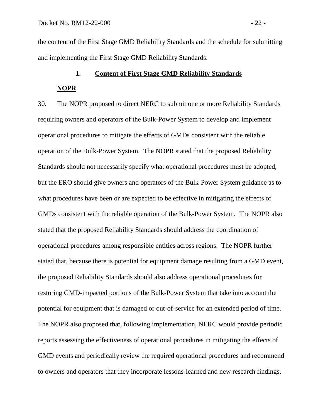the content of the First Stage GMD Reliability Standards and the schedule for submitting and implementing the First Stage GMD Reliability Standards.

#### **1. Content of First Stage GMD Reliability Standards**

#### **NOPR**

30. The NOPR proposed to direct NERC to submit one or more Reliability Standards requiring owners and operators of the Bulk-Power System to develop and implement operational procedures to mitigate the effects of GMDs consistent with the reliable operation of the Bulk-Power System. The NOPR stated that the proposed Reliability Standards should not necessarily specify what operational procedures must be adopted, but the ERO should give owners and operators of the Bulk-Power System guidance as to what procedures have been or are expected to be effective in mitigating the effects of GMDs consistent with the reliable operation of the Bulk-Power System. The NOPR also stated that the proposed Reliability Standards should address the coordination of operational procedures among responsible entities across regions. The NOPR further stated that, because there is potential for equipment damage resulting from a GMD event, the proposed Reliability Standards should also address operational procedures for restoring GMD-impacted portions of the Bulk-Power System that take into account the potential for equipment that is damaged or out-of-service for an extended period of time. The NOPR also proposed that, following implementation, NERC would provide periodic reports assessing the effectiveness of operational procedures in mitigating the effects of GMD events and periodically review the required operational procedures and recommend to owners and operators that they incorporate lessons-learned and new research findings.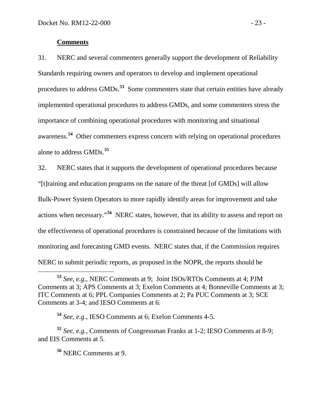#### **Comments**

31. NERC and several commenters generally support the development of Reliability Standards requiring owners and operators to develop and implement operational procedures to address GMDs. **[53](#page-25-0)** Some commenters state that certain entities have already implemented operational procedures to address GMDs, and some commenters stress the importance of combining operational procedures with monitoring and situational awareness.**[54](#page-25-1)** Other commenters express concern with relying on operational procedures alone to address GMDs.**[55](#page-25-2)**

32. NERC states that it supports the development of operational procedures because "[t]raining and education programs on the nature of the threat [of GMDs] will allow Bulk-Power System Operators to more rapidly identify areas for improvement and take actions when necessary." **[56](#page-25-3)** NERC states, however, that its ability to assess and report on the effectiveness of operational procedures is constrained because of the limitations with monitoring and forecasting GMD events. NERC states that, if the Commission requires NERC to submit periodic reports, as proposed in the NOPR, the reports should be

<span id="page-25-0"></span>**<sup>53</sup>** *See, e.g.,* NERC Comments at 9; Joint ISOs/RTOs Comments at 4; PJM Comments at 3; APS Comments at 3; Exelon Comments at 4; Bonneville Comments at 3; ITC Comments at 6; PPL Companies Comments at 2; Pa PUC Comments at 3; SCE Comments at 3-4; and IESO Comments at 6.

**<sup>54</sup>** *See*, *e.g.*, IESO Comments at 6; Exelon Comments 4-5.

<span id="page-25-3"></span><span id="page-25-2"></span><span id="page-25-1"></span>**<sup>55</sup>** *See*, *e.g.*, Comments of Congressman Franks at 1-2; IESO Comments at 8-9; and EIS Comments at 5.

**<sup>56</sup>** NERC Comments at 9.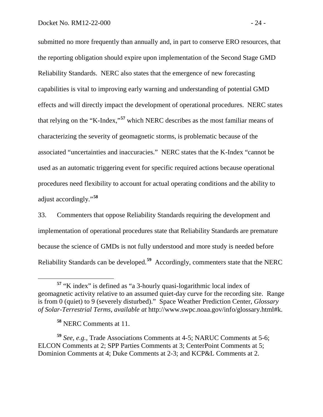submitted no more frequently than annually and, in part to conserve ERO resources, that the reporting obligation should expire upon implementation of the Second Stage GMD Reliability Standards. NERC also states that the emergence of new forecasting capabilities is vital to improving early warning and understanding of potential GMD effects and will directly impact the development of operational procedures. NERC states that relying on the "K-Index,"**[57](#page-26-0)** which NERC describes as the most familiar means of characterizing the severity of geomagnetic storms, is problematic because of the associated "uncertainties and inaccuracies." NERC states that the K-Index "cannot be used as an automatic triggering event for specific required actions because operational procedures need flexibility to account for actual operating conditions and the ability to adjust accordingly."**[58](#page-26-1)**

33. Commenters that oppose Reliability Standards requiring the development and implementation of operational procedures state that Reliability Standards are premature because the science of GMDs is not fully understood and more study is needed before Reliability Standards can be developed.**[59](#page-26-2)** Accordingly, commenters state that the NERC

<span id="page-26-0"></span>**<sup>57</sup>** "K index" is defined as "a 3-hourly quasi-logarithmic local index of geomagnetic activity relative to an assumed quiet-day curve for the recording site. Range is from 0 (quiet) to 9 (severely disturbed)." Space Weather Prediction Center, *Glossary of Solar-Terrestrial Terms*, *available at* http://www.swpc.noaa.gov/info/glossary.html#k.

**<sup>58</sup>** NERC Comments at 11.

<span id="page-26-2"></span><span id="page-26-1"></span>**<sup>59</sup>** *See*, *e.g.*, Trade Associations Comments at 4-5; NARUC Comments at 5-6; ELCON Comments at 2; SPP Parties Comments at 3; CenterPoint Comments at 5; Dominion Comments at 4; Duke Comments at 2-3; and KCP&L Comments at 2.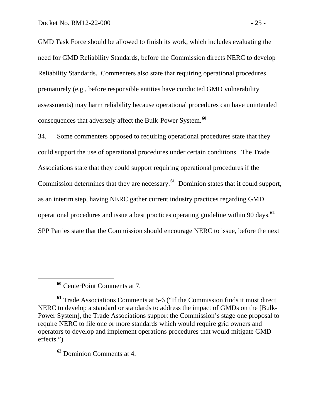GMD Task Force should be allowed to finish its work, which includes evaluating the need for GMD Reliability Standards, before the Commission directs NERC to develop Reliability Standards. Commenters also state that requiring operational procedures prematurely (e.g., before responsible entities have conducted GMD vulnerability assessments) may harm reliability because operational procedures can have unintended consequences that adversely affect the Bulk-Power System.**[60](#page-27-0)**

34. Some commenters opposed to requiring operational procedures state that they could support the use of operational procedures under certain conditions. The Trade Associations state that they could support requiring operational procedures if the Commission determines that they are necessary. **[61](#page-27-1)** Dominion states that it could support, as an interim step, having NERC gather current industry practices regarding GMD operational procedures and issue a best practices operating guideline within 90 days.**[62](#page-27-2)** SPP Parties state that the Commission should encourage NERC to issue, before the next

<span id="page-27-2"></span>**<sup>62</sup>** Dominion Comments at 4.

**<sup>60</sup>** CenterPoint Comments at 7.

<span id="page-27-1"></span><span id="page-27-0"></span>**<sup>61</sup>** Trade Associations Comments at 5-6 ("If the Commission finds it must direct NERC to develop a standard or standards to address the impact of GMDs on the [Bulk-Power System], the Trade Associations support the Commission's stage one proposal to require NERC to file one or more standards which would require grid owners and operators to develop and implement operations procedures that would mitigate GMD effects.").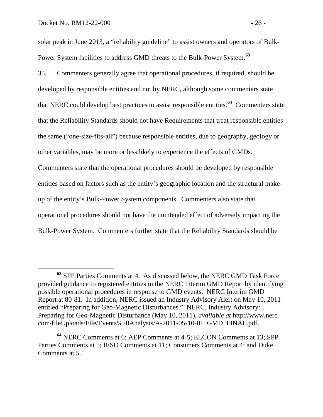solar peak in June 2013, a "reliability guideline" to assist owners and operators of Bulk-Power System facilities to address GMD threats to the Bulk-Power System.**[63](#page-28-0)**

35. Commenters generally agree that operational procedures, if required, should be developed by responsible entities and not by NERC, although some commenters state that NERC could develop best practices to assist responsible entities.**[64](#page-28-1)** Commenters state that the Reliability Standards should not have Requirements that treat responsible entities the same ("one-size-fits-all") because responsible entities, due to geography, geology or other variables, may be more or less likely to experience the effects of GMDs. Commenters state that the operational procedures should be developed by responsible entities based on factors such as the entity's geographic location and the structural makeup of the entity's Bulk-Power System components. Commenters also state that operational procedures should not have the unintended effect of adversely impacting the Bulk-Power System. Commenters further state that the Reliability Standards should be

<span id="page-28-0"></span>**<sup>63</sup>** SPP Parties Comments at 4. As discussed below, the NERC GMD Task Force provided guidance to registered entities in the NERC Interim GMD Report by identifying possible operational procedures in response to GMD events. NERC Interim GMD Report at 80-81. In addition, NERC issued an Industry Advisory Alert on May 10, 2011 entitled "Preparing for Geo-Magnetic Disturbances." NERC, Industry Advisory: Preparing for Geo-Magnetic Disturbance (May 10, 2011), *available at* http://www.nerc. com/fileUploads/File/Events%20Analysis/A-2011-05-10-01\_GMD\_FINAL.pdf.

<span id="page-28-1"></span>**<sup>64</sup>** NERC Comments at 6; AEP Comments at 4-5; ELCON Comments at 13; SPP Parties Comments at 5; IESO Comments at 11; Consumers Comments at 4; and Duke Comments at 5.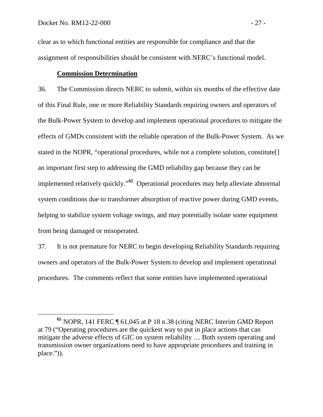clear as to which functional entities are responsible for compliance and that the assignment of responsibilities should be consistent with NERC's functional model.

## **Commission Determination**

36. The Commission directs NERC to submit, within six months of the effective date of this Final Rule, one or more Reliability Standards requiring owners and operators of the Bulk-Power System to develop and implement operational procedures to mitigate the effects of GMDs consistent with the reliable operation of the Bulk-Power System. As we stated in the NOPR, "operational procedures, while not a complete solution, constitute[] an important first step to addressing the GMD reliability gap because they can be implemented relatively quickly." **[65](#page-29-0)** Operational procedures may help alleviate abnormal system conditions due to transformer absorption of reactive power during GMD events, helping to stabilize system voltage swings, and may potentially isolate some equipment from being damaged or misoperated.

37. It is not premature for NERC to begin developing Reliability Standards requiring owners and operators of the Bulk-Power System to develop and implement operational procedures. The comments reflect that some entities have implemented operational

<span id="page-29-0"></span>**<sup>65</sup>** NOPR, 141 FERC ¶ 61,045 at P 18 n.38 (citing NERC Interim GMD Report at 79 ("Operating procedures are the quickest way to put in place actions that can mitigate the adverse effects of GIC on system reliability … Both system operating and transmission owner organizations need to have appropriate procedures and training in place.")).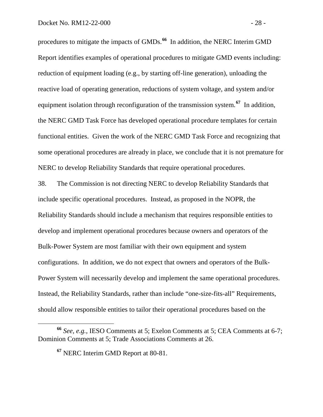procedures to mitigate the impacts of GMDs.**[66](#page-30-0)** In addition, the NERC Interim GMD Report identifies examples of operational procedures to mitigate GMD events including: reduction of equipment loading (e.g., by starting off-line generation), unloading the reactive load of operating generation, reductions of system voltage, and system and/or equipment isolation through reconfiguration of the transmission system.<sup>[67](#page-30-1)</sup> In addition, the NERC GMD Task Force has developed operational procedure templates for certain functional entities. Given the work of the NERC GMD Task Force and recognizing that some operational procedures are already in place, we conclude that it is not premature for NERC to develop Reliability Standards that require operational procedures.

38. The Commission is not directing NERC to develop Reliability Standards that include specific operational procedures. Instead, as proposed in the NOPR, the Reliability Standards should include a mechanism that requires responsible entities to develop and implement operational procedures because owners and operators of the Bulk-Power System are most familiar with their own equipment and system configurations. In addition, we do not expect that owners and operators of the Bulk-Power System will necessarily develop and implement the same operational procedures. Instead, the Reliability Standards, rather than include "one-size-fits-all" Requirements, should allow responsible entities to tailor their operational procedures based on the

<span id="page-30-1"></span><span id="page-30-0"></span>**<sup>66</sup>** *See, e.g.*, IESO Comments at 5; Exelon Comments at 5; CEA Comments at 6-7; Dominion Comments at 5; Trade Associations Comments at 26.

**<sup>67</sup>** NERC Interim GMD Report at 80-81.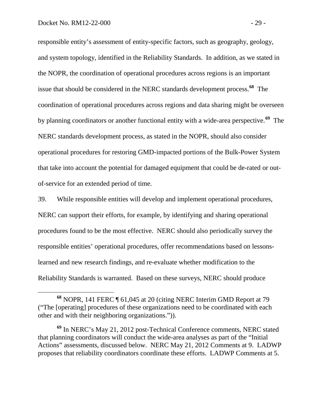responsible entity's assessment of entity-specific factors, such as geography, geology, and system topology, identified in the Reliability Standards. In addition, as we stated in the NOPR, the coordination of operational procedures across regions is an important issue that should be considered in the NERC standards development process.**[68](#page-31-0)** The coordination of operational procedures across regions and data sharing might be overseen by planning coordinators or another functional entity with a wide-area perspective.**[69](#page-31-1)** The NERC standards development process, as stated in the NOPR, should also consider operational procedures for restoring GMD-impacted portions of the Bulk-Power System that take into account the potential for damaged equipment that could be de-rated or outof-service for an extended period of time.

39. While responsible entities will develop and implement operational procedures, NERC can support their efforts, for example, by identifying and sharing operational procedures found to be the most effective. NERC should also periodically survey the responsible entities' operational procedures, offer recommendations based on lessonslearned and new research findings, and re-evaluate whether modification to the Reliability Standards is warranted. Based on these surveys, NERC should produce

<span id="page-31-0"></span>**<sup>68</sup>** NOPR, 141 FERC ¶ 61,045 at 20 (citing NERC Interim GMD Report at 79 ("The [operating] procedures of these organizations need to be coordinated with each other and with their neighboring organizations.")).

<span id="page-31-1"></span>**<sup>69</sup>** In NERC's May 21, 2012 post-Technical Conference comments, NERC stated that planning coordinators will conduct the wide-area analyses as part of the "Initial Actions" assessments, discussed below. NERC May 21, 2012 Comments at 9. LADWP proposes that reliability coordinators coordinate these efforts. LADWP Comments at 5.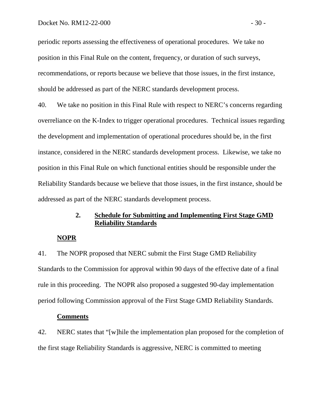periodic reports assessing the effectiveness of operational procedures. We take no position in this Final Rule on the content, frequency, or duration of such surveys, recommendations, or reports because we believe that those issues, in the first instance, should be addressed as part of the NERC standards development process.

40. We take no position in this Final Rule with respect to NERC's concerns regarding overreliance on the K-Index to trigger operational procedures. Technical issues regarding the development and implementation of operational procedures should be, in the first instance, considered in the NERC standards development process. Likewise, we take no position in this Final Rule on which functional entities should be responsible under the Reliability Standards because we believe that those issues, in the first instance, should be addressed as part of the NERC standards development process.

# **2. Schedule for Submitting and Implementing First Stage GMD Reliability Standards**

#### **NOPR**

41. The NOPR proposed that NERC submit the First Stage GMD Reliability Standards to the Commission for approval within 90 days of the effective date of a final rule in this proceeding. The NOPR also proposed a suggested 90-day implementation period following Commission approval of the First Stage GMD Reliability Standards.

#### **Comments**

42. NERC states that "[w]hile the implementation plan proposed for the completion of the first stage Reliability Standards is aggressive, NERC is committed to meeting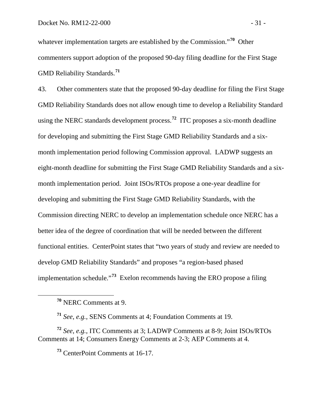whatever implementation targets are established by the Commission.<sup>"[70](#page-33-0)</sup> Other commenters support adoption of the proposed 90-day filing deadline for the First Stage GMD Reliability Standards.**[71](#page-33-1)**

43. Other commenters state that the proposed 90-day deadline for filing the First Stage GMD Reliability Standards does not allow enough time to develop a Reliability Standard using the NERC standards development process.**[72](#page-33-2)** ITC proposes a six-month deadline for developing and submitting the First Stage GMD Reliability Standards and a sixmonth implementation period following Commission approval. LADWP suggests an eight-month deadline for submitting the First Stage GMD Reliability Standards and a sixmonth implementation period. Joint ISOs/RTOs propose a one-year deadline for developing and submitting the First Stage GMD Reliability Standards, with the Commission directing NERC to develop an implementation schedule once NERC has a better idea of the degree of coordination that will be needed between the different functional entities. CenterPoint states that "two years of study and review are needed to develop GMD Reliability Standards" and proposes "a region-based phased implementation schedule."**[73](#page-33-3)** Exelon recommends having the ERO propose a filing

**<sup>71</sup>** *See*, *e.g.*, SENS Comments at 4; Foundation Comments at 19.

<span id="page-33-3"></span><span id="page-33-2"></span><span id="page-33-1"></span><span id="page-33-0"></span>**<sup>72</sup>** *See*, *e.g.*, ITC Comments at 3; LADWP Comments at 8-9; Joint ISOs/RTOs Comments at 14; Consumers Energy Comments at 2-3; AEP Comments at 4.

**<sup>73</sup>** CenterPoint Comments at 16-17.

**<sup>70</sup>** NERC Comments at 9.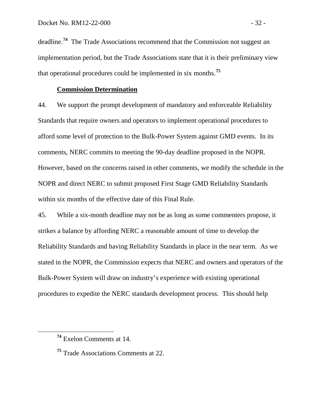deadline. **[74](#page-34-0)** The Trade Associations recommend that the Commission not suggest an implementation period, but the Trade Associations state that it is their preliminary view that operational procedures could be implemented in six months.**[75](#page-34-1)**

#### **Commission Determination**

44. We support the prompt development of mandatory and enforceable Reliability Standards that require owners and operators to implement operational procedures to afford some level of protection to the Bulk-Power System against GMD events. In its comments, NERC commits to meeting the 90-day deadline proposed in the NOPR. However, based on the concerns raised in other comments, we modify the schedule in the NOPR and direct NERC to submit proposed First Stage GMD Reliability Standards within six months of the effective date of this Final Rule.

45. While a six-month deadline may not be as long as some commenters propose, it strikes a balance by affording NERC a reasonable amount of time to develop the Reliability Standards and having Reliability Standards in place in the near term. As we stated in the NOPR, the Commission expects that NERC and owners and operators of the Bulk-Power System will draw on industry's experience with existing operational procedures to expedite the NERC standards development process. This should help

<span id="page-34-0"></span>**<sup>74</sup>** Exelon Comments at 14.

<span id="page-34-1"></span>**<sup>75</sup>** Trade Associations Comments at 22.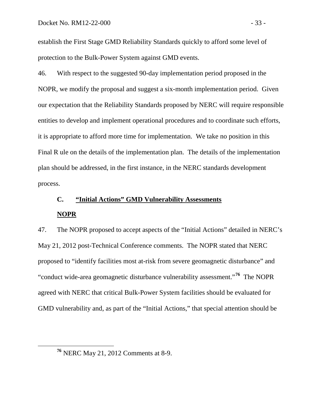establish the First Stage GMD Reliability Standards quickly to afford some level of protection to the Bulk-Power System against GMD events.

46. With respect to the suggested 90-day implementation period proposed in the NOPR, we modify the proposal and suggest a six-month implementation period. Given our expectation that the Reliability Standards proposed by NERC will require responsible entities to develop and implement operational procedures and to coordinate such efforts, it is appropriate to afford more time for implementation. We take no position in this Final R ule on the details of the implementation plan. The details of the implementation plan should be addressed, in the first instance, in the NERC standards development process.

# **C. "Initial Actions" GMD Vulnerability Assessments NOPR**

47. The NOPR proposed to accept aspects of the "Initial Actions" detailed in NERC's May 21, 2012 post-Technical Conference comments. The NOPR stated that NERC proposed to "identify facilities most at-risk from severe geomagnetic disturbance" and "conduct wide-area geomagnetic disturbance vulnerability assessment."<sup>[76](#page-35-0)</sup> The NOPR agreed with NERC that critical Bulk-Power System facilities should be evaluated for GMD vulnerability and, as part of the "Initial Actions," that special attention should be

<span id="page-35-0"></span>**<sup>76</sup>** NERC May 21, 2012 Comments at 8-9.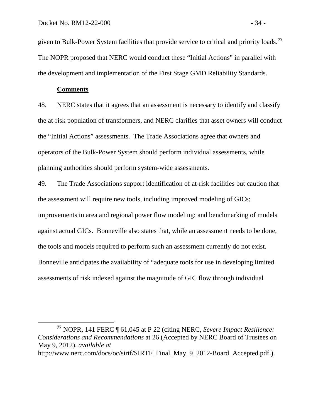given to Bulk-Power System facilities that provide service to critical and priority loads.**[77](#page-36-0)** The NOPR proposed that NERC would conduct these "Initial Actions" in parallel with the development and implementation of the First Stage GMD Reliability Standards.

## **Comments**

48. NERC states that it agrees that an assessment is necessary to identify and classify the at-risk population of transformers, and NERC clarifies that asset owners will conduct the "Initial Actions" assessments. The Trade Associations agree that owners and operators of the Bulk-Power System should perform individual assessments, while planning authorities should perform system-wide assessments.

49. The Trade Associations support identification of at-risk facilities but caution that the assessment will require new tools, including improved modeling of GICs; improvements in area and regional power flow modeling; and benchmarking of models against actual GICs. Bonneville also states that, while an assessment needs to be done, the tools and models required to perform such an assessment currently do not exist. Bonneville anticipates the availability of "adequate tools for use in developing limited assessments of risk indexed against the magnitude of GIC flow through individual

<span id="page-36-0"></span>**<sup>77</sup>** NOPR, 141 FERC ¶ 61,045 at P 22 (citing NERC, *Severe Impact Resilience: Considerations and Recommendations* at 26 (Accepted by NERC Board of Trustees on May 9, 2012), *available at*  http://www.nerc.com/docs/oc/sirtf/SIRTF\_Final\_May\_9\_2012-Board\_Accepted.pdf.).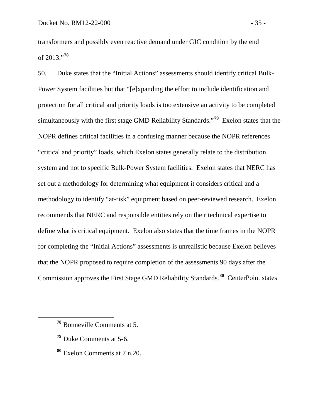transformers and possibly even reactive demand under GIC condition by the end of 2013."**[78](#page-37-0)**

50. Duke states that the "Initial Actions" assessments should identify critical Bulk-Power System facilities but that "[e]xpanding the effort to include identification and protection for all critical and priority loads is too extensive an activity to be completed simultaneously with the first stage GMD Reliability Standards."**[79](#page-37-1)** Exelon states that the NOPR defines critical facilities in a confusing manner because the NOPR references "critical and priority" loads, which Exelon states generally relate to the distribution system and not to specific Bulk-Power System facilities. Exelon states that NERC has set out a methodology for determining what equipment it considers critical and a methodology to identify "at-risk" equipment based on peer-reviewed research. Exelon recommends that NERC and responsible entities rely on their technical expertise to define what is critical equipment. Exelon also states that the time frames in the NOPR for completing the "Initial Actions" assessments is unrealistic because Exelon believes that the NOPR proposed to require completion of the assessments 90 days after the Commission approves the First Stage GMD Reliability Standards.**[80](#page-37-2)** CenterPoint states

- <span id="page-37-1"></span>**<sup>79</sup>** Duke Comments at 5-6.
- <span id="page-37-2"></span>**<sup>80</sup>** Exelon Comments at 7 n.20.

<span id="page-37-0"></span>**<sup>78</sup>** Bonneville Comments at 5.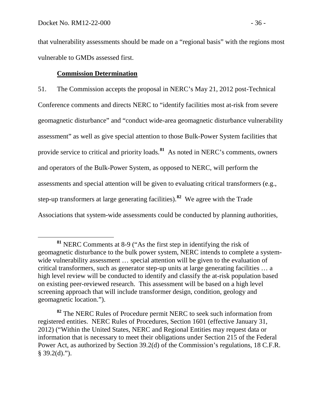that vulnerability assessments should be made on a "regional basis" with the regions most vulnerable to GMDs assessed first.

# **Commission Determination**

51. The Commission accepts the proposal in NERC's May 21, 2012 post-Technical Conference comments and directs NERC to "identify facilities most at-risk from severe geomagnetic disturbance" and "conduct wide-area geomagnetic disturbance vulnerability assessment" as well as give special attention to those Bulk-Power System facilities that provide service to critical and priority loads. **[81](#page-38-0)** As noted in NERC's comments, owners and operators of the Bulk-Power System, as opposed to NERC, will perform the assessments and special attention will be given to evaluating critical transformers (e.g., step-up transformers at large generating facilities).**[82](#page-38-1)** We agree with the Trade Associations that system-wide assessments could be conducted by planning authorities,

<span id="page-38-0"></span>**<sup>81</sup>** NERC Comments at 8-9 ("As the first step in identifying the risk of geomagnetic disturbance to the bulk power system, NERC intends to complete a systemwide vulnerability assessment ... special attention will be given to the evaluation of critical transformers, such as generator step-up units at large generating facilities … a high level review will be conducted to identify and classify the at-risk population based on existing peer-reviewed research. This assessment will be based on a high level screening approach that will include transformer design, condition, geology and geomagnetic location.").

<span id="page-38-1"></span>**<sup>82</sup>** The NERC Rules of Procedure permit NERC to seek such information from registered entities. NERC Rules of Procedures, Section 1601 (effective January 31, 2012) ("Within the United States, NERC and Regional Entities may request data or information that is necessary to meet their obligations under Section 215 of the Federal Power Act, as authorized by Section 39.2(d) of the Commission's regulations, 18 C.F.R.  $§$  39.2(d).").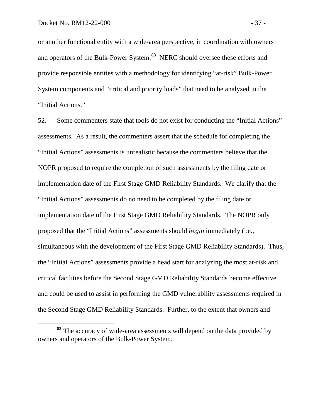or another functional entity with a wide-area perspective, in coordination with owners and operators of the Bulk-Power System. **[83](#page-39-0)** NERC should oversee these efforts and provide responsible entities with a methodology for identifying "at-risk" Bulk-Power System components and "critical and priority loads" that need to be analyzed in the "Initial Actions."

52. Some commenters state that tools do not exist for conducting the "Initial Actions" assessments. As a result, the commenters assert that the schedule for completing the "Initial Actions" assessments is unrealistic because the commenters believe that the NOPR proposed to require the completion of such assessments by the filing date or implementation date of the First Stage GMD Reliability Standards. We clarify that the "Initial Actions" assessments do no need to be completed by the filing date or implementation date of the First Stage GMD Reliability Standards. The NOPR only proposed that the "Initial Actions" assessments should *begin* immediately (i.e., simultaneous with the development of the First Stage GMD Reliability Standards). Thus, the "Initial Actions" assessments provide a head start for analyzing the most at-risk and critical facilities before the Second Stage GMD Reliability Standards become effective and could be used to assist in performing the GMD vulnerability assessments required in the Second Stage GMD Reliability Standards. Further, to the extent that owners and

<span id="page-39-0"></span>**<sup>83</sup>** The accuracy of wide-area assessments will depend on the data provided by owners and operators of the Bulk-Power System.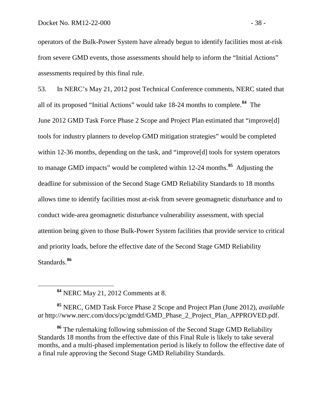operators of the Bulk-Power System have already begun to identify facilities most at-risk from severe GMD events, those assessments should help to inform the "Initial Actions" assessments required by this final rule.

53. In NERC's May 21, 2012 post Technical Conference comments, NERC stated that all of its proposed "Initial Actions" would take 18-24 months to complete.**[84](#page-40-0)** The June 2012 GMD Task Force Phase 2 Scope and Project Plan estimated that "improve[d] tools for industry planners to develop GMD mitigation strategies" would be completed within 12-36 months, depending on the task, and "improve[d] tools for system operators to manage GMD impacts" would be completed within 12-24 months.**[85](#page-40-1)** Adjusting the deadline for submission of the Second Stage GMD Reliability Standards to 18 months allows time to identify facilities most at-risk from severe geomagnetic disturbance and to conduct wide-area geomagnetic disturbance vulnerability assessment, with special attention being given to those Bulk-Power System facilities that provide service to critical and priority loads, before the effective date of the Second Stage GMD Reliability Standards.**[86](#page-40-2)**

<span id="page-40-1"></span><span id="page-40-0"></span>**<sup>85</sup>** NERC, GMD Task Force Phase 2 Scope and Project Plan (June 2012), *available at* http://www.nerc.com/docs/pc/gmdtf/GMD\_Phase\_2\_Project\_Plan\_APPROVED.pdf.

<span id="page-40-2"></span>**<sup>86</sup>** The rulemaking following submission of the Second Stage GMD Reliability Standards 18 months from the effective date of this Final Rule is likely to take several months, and a multi-phased implementation period is likely to follow the effective date of a final rule approving the Second Stage GMD Reliability Standards.

**<sup>84</sup>** NERC May 21, 2012 Comments at 8.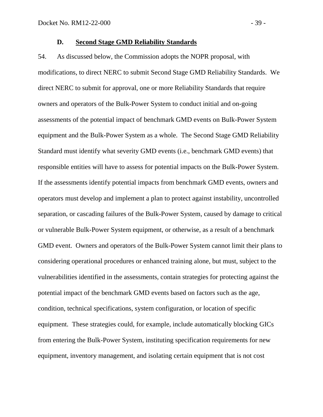#### **D. Second Stage GMD Reliability Standards**

54. As discussed below, the Commission adopts the NOPR proposal, with modifications, to direct NERC to submit Second Stage GMD Reliability Standards. We direct NERC to submit for approval, one or more Reliability Standards that require owners and operators of the Bulk-Power System to conduct initial and on-going assessments of the potential impact of benchmark GMD events on Bulk-Power System equipment and the Bulk-Power System as a whole. The Second Stage GMD Reliability Standard must identify what severity GMD events (i.e., benchmark GMD events) that responsible entities will have to assess for potential impacts on the Bulk-Power System. If the assessments identify potential impacts from benchmark GMD events, owners and operators must develop and implement a plan to protect against instability, uncontrolled separation, or cascading failures of the Bulk-Power System, caused by damage to critical or vulnerable Bulk-Power System equipment, or otherwise, as a result of a benchmark GMD event. Owners and operators of the Bulk-Power System cannot limit their plans to considering operational procedures or enhanced training alone, but must, subject to the vulnerabilities identified in the assessments, contain strategies for protecting against the potential impact of the benchmark GMD events based on factors such as the age, condition, technical specifications, system configuration, or location of specific equipment. These strategies could, for example, include automatically blocking GICs from entering the Bulk-Power System, instituting specification requirements for new equipment, inventory management, and isolating certain equipment that is not cost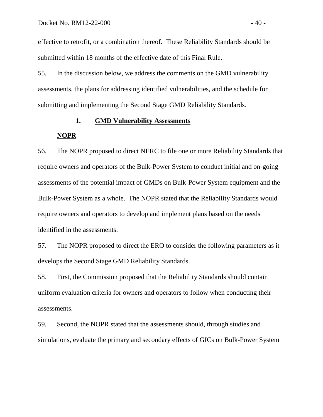effective to retrofit, or a combination thereof. These Reliability Standards should be submitted within 18 months of the effective date of this Final Rule.

55. In the discussion below, we address the comments on the GMD vulnerability assessments, the plans for addressing identified vulnerabilities, and the schedule for submitting and implementing the Second Stage GMD Reliability Standards.

# **1. GMD Vulnerability Assessments**

## **NOPR**

56. The NOPR proposed to direct NERC to file one or more Reliability Standards that require owners and operators of the Bulk-Power System to conduct initial and on-going assessments of the potential impact of GMDs on Bulk-Power System equipment and the Bulk-Power System as a whole. The NOPR stated that the Reliability Standards would require owners and operators to develop and implement plans based on the needs identified in the assessments.

57. The NOPR proposed to direct the ERO to consider the following parameters as it develops the Second Stage GMD Reliability Standards.

58. First, the Commission proposed that the Reliability Standards should contain uniform evaluation criteria for owners and operators to follow when conducting their assessments.

59. Second, the NOPR stated that the assessments should, through studies and simulations, evaluate the primary and secondary effects of GICs on Bulk-Power System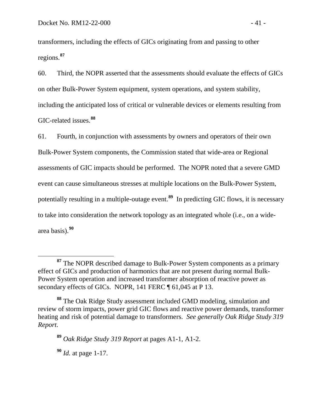transformers, including the effects of GICs originating from and passing to other regions.**[87](#page-43-0)**

60. Third, the NOPR asserted that the assessments should evaluate the effects of GICs on other Bulk-Power System equipment, system operations, and system stability, including the anticipated loss of critical or vulnerable devices or elements resulting from GIC-related issues. **[88](#page-43-1)**

61. Fourth, in conjunction with assessments by owners and operators of their own Bulk-Power System components, the Commission stated that wide-area or Regional assessments of GIC impacts should be performed. The NOPR noted that a severe GMD event can cause simultaneous stresses at multiple locations on the Bulk-Power System, potentially resulting in a multiple-outage event.**[89](#page-43-2)** In predicting GIC flows, it is necessary to take into consideration the network topology as an integrated whole (i.e., on a widearea basis).**[90](#page-43-3)**

<span id="page-43-3"></span>**<sup>90</sup>** *Id.* at page 1-17.

<span id="page-43-0"></span>**<sup>87</sup>** The NOPR described damage to Bulk-Power System components as a primary effect of GICs and production of harmonics that are not present during normal Bulk-Power System operation and increased transformer absorption of reactive power as secondary effects of GICs. NOPR, 141 FERC ¶ 61,045 at P 13.

<span id="page-43-2"></span><span id="page-43-1"></span>**<sup>88</sup>** The Oak Ridge Study assessment included GMD modeling, simulation and review of storm impacts, power grid GIC flows and reactive power demands, transformer heating and risk of potential damage to transformers. *See generally Oak Ridge Study 319 Report*.

**<sup>89</sup>** *Oak Ridge Study 319 Report* at pages A1-1, A1-2.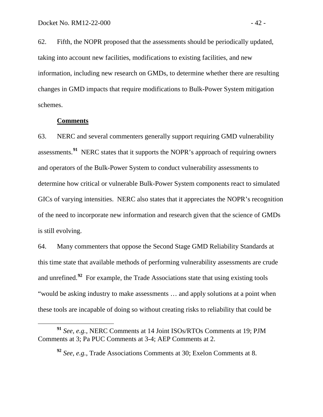62. Fifth, the NOPR proposed that the assessments should be periodically updated, taking into account new facilities, modifications to existing facilities, and new information, including new research on GMDs, to determine whether there are resulting changes in GMD impacts that require modifications to Bulk-Power System mitigation schemes.

## **Comments**

63. NERC and several commenters generally support requiring GMD vulnerability assessments.<sup>[91](#page-44-0)</sup> NERC states that it supports the NOPR's approach of requiring owners and operators of the Bulk-Power System to conduct vulnerability assessments to determine how critical or vulnerable Bulk-Power System components react to simulated GICs of varying intensities. NERC also states that it appreciates the NOPR's recognition of the need to incorporate new information and research given that the science of GMDs is still evolving.

64. Many commenters that oppose the Second Stage GMD Reliability Standards at this time state that available methods of performing vulnerability assessments are crude and unrefined.<sup>[92](#page-44-1)</sup> For example, the Trade Associations state that using existing tools "would be asking industry to make assessments … and apply solutions at a point when these tools are incapable of doing so without creating risks to reliability that could be

<span id="page-44-1"></span><span id="page-44-0"></span>**<sup>91</sup>** *See*, *e.g.*, NERC Comments at 14 Joint ISOs/RTOs Comments at 19; PJM Comments at 3; Pa PUC Comments at 3-4; AEP Comments at 2.

**<sup>92</sup>** *See*, *e.g.*, Trade Associations Comments at 30; Exelon Comments at 8.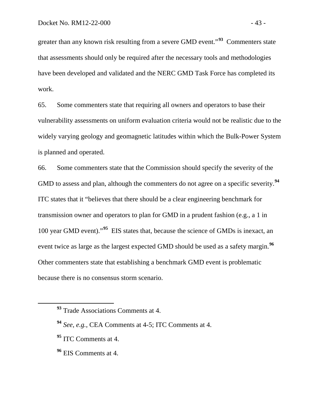greater than any known risk resulting from a severe GMD event."**[93](#page-45-0)** Commenters state that assessments should only be required after the necessary tools and methodologies have been developed and validated and the NERC GMD Task Force has completed its work.

65. Some commenters state that requiring all owners and operators to base their vulnerability assessments on uniform evaluation criteria would not be realistic due to the widely varying geology and geomagnetic latitudes within which the Bulk-Power System is planned and operated.

66. Some commenters state that the Commission should specify the severity of the GMD to assess and plan, although the commenters do not agree on a specific severity. **[94](#page-45-1)** ITC states that it "believes that there should be a clear engineering benchmark for transmission owner and operators to plan for GMD in a prudent fashion (e.g., a 1 in 100 year GMD event)."**[95](#page-45-2)** EIS states that, because the science of GMDs is inexact, an event twice as large as the largest expected GMD should be used as a safety margin.**[96](#page-45-3)** Other commenters state that establishing a benchmark GMD event is problematic because there is no consensus storm scenario.

<span id="page-45-0"></span>**<sup>93</sup>** Trade Associations Comments at 4.

<span id="page-45-1"></span>**<sup>94</sup>** *See*, *e.g.*, CEA Comments at 4-5; ITC Comments at 4.

<span id="page-45-2"></span>**<sup>95</sup>** ITC Comments at 4.

<span id="page-45-3"></span>**<sup>96</sup>** EIS Comments at 4.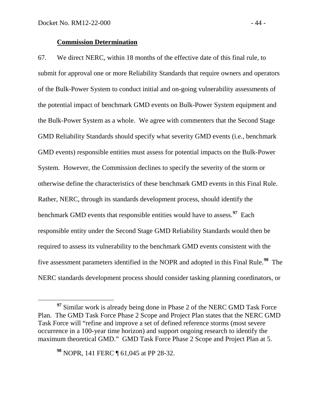### **Commission Determination**

67. We direct NERC, within 18 months of the effective date of this final rule, to submit for approval one or more Reliability Standards that require owners and operators of the Bulk-Power System to conduct initial and on-going vulnerability assessments of the potential impact of benchmark GMD events on Bulk-Power System equipment and the Bulk-Power System as a whole. We agree with commenters that the Second Stage GMD Reliability Standards should specify what severity GMD events (i.e., benchmark GMD events) responsible entities must assess for potential impacts on the Bulk-Power System. However, the Commission declines to specify the severity of the storm or otherwise define the characteristics of these benchmark GMD events in this Final Rule. Rather, NERC, through its standards development process, should identify the benchmark GMD events that responsible entities would have to assess. **[97](#page-46-0)** Each responsible entity under the Second Stage GMD Reliability Standards would then be required to assess its vulnerability to the benchmark GMD events consistent with the five assessment parameters identified in the NOPR and adopted in this Final Rule. **[98](#page-46-1)** The NERC standards development process should consider tasking planning coordinators, or

<span id="page-46-1"></span>**<sup>98</sup>** NOPR, 141 FERC ¶ 61,045 at PP 28-32.

<span id="page-46-0"></span><sup>&</sup>lt;sup>97</sup> Similar work is already being done in Phase 2 of the NERC GMD Task Force Plan. The GMD Task Force Phase 2 Scope and Project Plan states that the NERC GMD Task Force will "refine and improve a set of defined reference storms (most severe occurrence in a 100-year time horizon) and support ongoing research to identify the maximum theoretical GMD." GMD Task Force Phase 2 Scope and Project Plan at 5.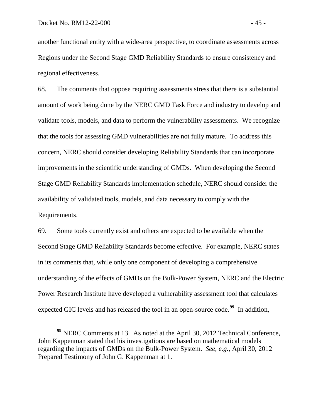another functional entity with a wide-area perspective, to coordinate assessments across Regions under the Second Stage GMD Reliability Standards to ensure consistency and regional effectiveness.

68. The comments that oppose requiring assessments stress that there is a substantial amount of work being done by the NERC GMD Task Force and industry to develop and validate tools, models, and data to perform the vulnerability assessments. We recognize that the tools for assessing GMD vulnerabilities are not fully mature. To address this concern, NERC should consider developing Reliability Standards that can incorporate improvements in the scientific understanding of GMDs. When developing the Second Stage GMD Reliability Standards implementation schedule, NERC should consider the availability of validated tools, models, and data necessary to comply with the Requirements.

69. Some tools currently exist and others are expected to be available when the Second Stage GMD Reliability Standards become effective. For example, NERC states in its comments that, while only one component of developing a comprehensive understanding of the effects of GMDs on the Bulk-Power System, NERC and the Electric Power Research Institute have developed a vulnerability assessment tool that calculates expected GIC levels and has released the tool in an open-source code.**[99](#page-47-0)** In addition,

<span id="page-47-0"></span>**<sup>99</sup>** NERC Comments at 13. As noted at the April 30, 2012 Technical Conference, John Kappenman stated that his investigations are based on mathematical models regarding the impacts of GMDs on the Bulk-Power System. *See*, *e.g.*, April 30, 2012 Prepared Testimony of John G. Kappenman at 1.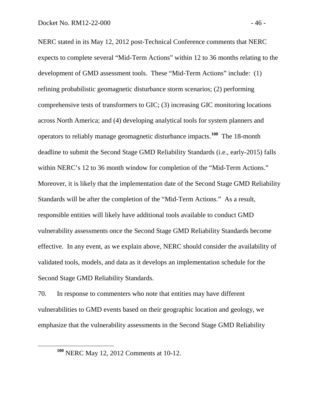NERC stated in its May 12, 2012 post-Technical Conference comments that NERC expects to complete several "Mid-Term Actions" within 12 to 36 months relating to the development of GMD assessment tools. These "Mid-Term Actions" include: (1) refining probabilistic geomagnetic disturbance storm scenarios; (2) performing comprehensive tests of transformers to GIC; (3) increasing GIC monitoring locations across North America; and (4) developing analytical tools for system planners and operators to reliably manage geomagnetic disturbance impacts.**[100](#page-48-0)** The 18-month deadline to submit the Second Stage GMD Reliability Standards (i.e., early-2015) falls within NERC's 12 to 36 month window for completion of the "Mid-Term Actions." Moreover, it is likely that the implementation date of the Second Stage GMD Reliability Standards will be after the completion of the "Mid-Term Actions." As a result, responsible entities will likely have additional tools available to conduct GMD vulnerability assessments once the Second Stage GMD Reliability Standards become effective. In any event, as we explain above, NERC should consider the availability of validated tools, models, and data as it develops an implementation schedule for the Second Stage GMD Reliability Standards.

70. In response to commenters who note that entities may have different vulnerabilities to GMD events based on their geographic location and geology, we emphasize that the vulnerability assessments in the Second Stage GMD Reliability

<span id="page-48-0"></span>**<sup>100</sup>** NERC May 12, 2012 Comments at 10-12.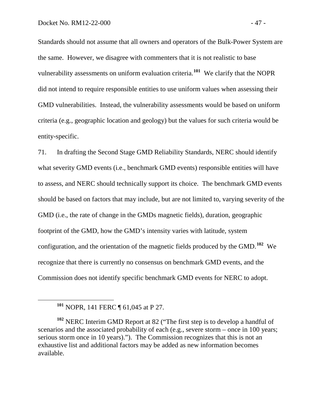Standards should not assume that all owners and operators of the Bulk-Power System are the same. However, we disagree with commenters that it is not realistic to base vulnerability assessments on uniform evaluation criteria.**[101](#page-49-0)** We clarify that the NOPR did not intend to require responsible entities to use uniform values when assessing their GMD vulnerabilities. Instead, the vulnerability assessments would be based on uniform criteria (e.g., geographic location and geology) but the values for such criteria would be entity-specific.

71. In drafting the Second Stage GMD Reliability Standards, NERC should identify what severity GMD events (i.e., benchmark GMD events) responsible entities will have to assess, and NERC should technically support its choice. The benchmark GMD events should be based on factors that may include, but are not limited to, varying severity of the GMD (i.e., the rate of change in the GMDs magnetic fields), duration, geographic footprint of the GMD, how the GMD's intensity varies with latitude, system configuration, and the orientation of the magnetic fields produced by the GMD. **[102](#page-49-1)** We recognize that there is currently no consensus on benchmark GMD events, and the Commission does not identify specific benchmark GMD events for NERC to adopt.

**<sup>101</sup>** NOPR, 141 FERC ¶ 61,045 at P 27.

<span id="page-49-1"></span><span id="page-49-0"></span>**<sup>102</sup>** NERC Interim GMD Report at 82 ("The first step is to develop a handful of scenarios and the associated probability of each (e.g., severe storm – once in 100 years; serious storm once in 10 years)."). The Commission recognizes that this is not an exhaustive list and additional factors may be added as new information becomes available.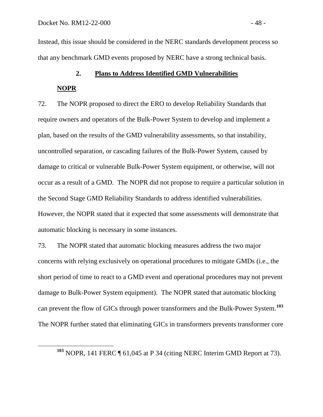Instead, this issue should be considered in the NERC standards development process so that any benchmark GMD events proposed by NERC have a strong technical basis.

# **2. Plans to Address Identified GMD Vulnerabilities**

# **NOPR**

72. The NOPR proposed to direct the ERO to develop Reliability Standards that require owners and operators of the Bulk-Power System to develop and implement a plan, based on the results of the GMD vulnerability assessments, so that instability, uncontrolled separation, or cascading failures of the Bulk-Power System, caused by damage to critical or vulnerable Bulk-Power System equipment, or otherwise, will not occur as a result of a GMD. The NOPR did not propose to require a particular solution in the Second Stage GMD Reliability Standards to address identified vulnerabilities. However, the NOPR stated that it expected that some assessments will demonstrate that automatic blocking is necessary in some instances.

73. The NOPR stated that automatic blocking measures address the two major concerns with relying exclusively on operational procedures to mitigate GMDs (i.e., the short period of time to react to a GMD event and operational procedures may not prevent damage to Bulk-Power System equipment). The NOPR stated that automatic blocking can prevent the flow of GICs through power transformers and the Bulk-Power System.**[103](#page-50-0)** The NOPR further stated that eliminating GICs in transformers prevents transformer core

<span id="page-50-0"></span>**<sup>103</sup>** NOPR, 141 FERC ¶ 61,045 at P 34 (citing NERC Interim GMD Report at 73).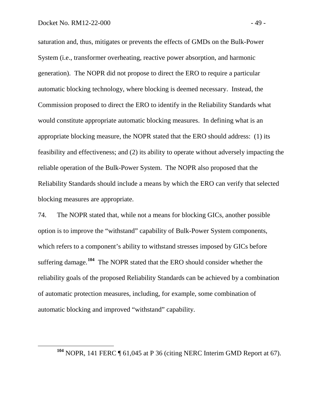saturation and, thus, mitigates or prevents the effects of GMDs on the Bulk-Power System (i.e., transformer overheating, reactive power absorption, and harmonic generation). The NOPR did not propose to direct the ERO to require a particular automatic blocking technology, where blocking is deemed necessary. Instead, the Commission proposed to direct the ERO to identify in the Reliability Standards what would constitute appropriate automatic blocking measures. In defining what is an appropriate blocking measure, the NOPR stated that the ERO should address: (1) its feasibility and effectiveness; and (2) its ability to operate without adversely impacting the reliable operation of the Bulk-Power System. The NOPR also proposed that the Reliability Standards should include a means by which the ERO can verify that selected blocking measures are appropriate.

74. The NOPR stated that, while not a means for blocking GICs, another possible option is to improve the "withstand" capability of Bulk-Power System components, which refers to a component's ability to withstand stresses imposed by GICs before suffering damage.<sup>[104](#page-51-0)</sup> The NOPR stated that the ERO should consider whether the reliability goals of the proposed Reliability Standards can be achieved by a combination of automatic protection measures, including, for example, some combination of automatic blocking and improved "withstand" capability.

<span id="page-51-0"></span>**<sup>104</sup>** NOPR, 141 FERC ¶ 61,045 at P 36 (citing NERC Interim GMD Report at 67).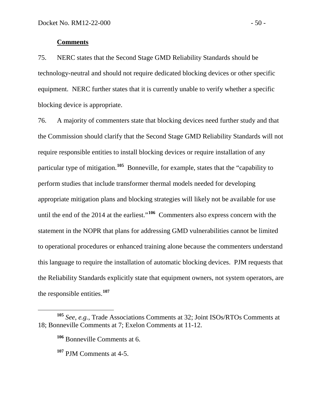### **Comments**

75. NERC states that the Second Stage GMD Reliability Standards should be technology-neutral and should not require dedicated blocking devices or other specific equipment. NERC further states that it is currently unable to verify whether a specific blocking device is appropriate.

76. A majority of commenters state that blocking devices need further study and that the Commission should clarify that the Second Stage GMD Reliability Standards will not require responsible entities to install blocking devices or require installation of any particular type of mitigation.**[105](#page-52-0)** Bonneville, for example, states that the "capability to perform studies that include transformer thermal models needed for developing appropriate mitigation plans and blocking strategies will likely not be available for use until the end of the 2014 at the earliest."**[106](#page-52-1)** Commenters also express concern with the statement in the NOPR that plans for addressing GMD vulnerabilities cannot be limited to operational procedures or enhanced training alone because the commenters understand this language to require the installation of automatic blocking devices. PJM requests that the Reliability Standards explicitly state that equipment owners, not system operators, are the responsible entities.**[107](#page-52-2)**

<span id="page-52-2"></span><span id="page-52-1"></span><span id="page-52-0"></span>**<sup>105</sup>** *See*, *e.g.*, Trade Associations Comments at 32; Joint ISOs/RTOs Comments at 18; Bonneville Comments at 7; Exelon Comments at 11-12.

**<sup>106</sup>** Bonneville Comments at 6.

**<sup>107</sup>** PJM Comments at 4-5.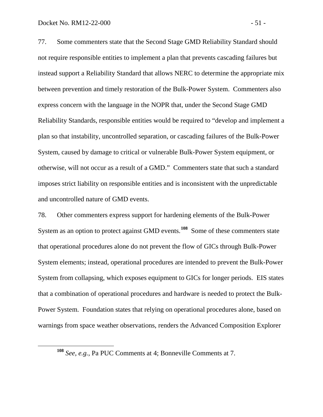77. Some commenters state that the Second Stage GMD Reliability Standard should not require responsible entities to implement a plan that prevents cascading failures but instead support a Reliability Standard that allows NERC to determine the appropriate mix between prevention and timely restoration of the Bulk-Power System. Commenters also express concern with the language in the NOPR that, under the Second Stage GMD Reliability Standards, responsible entities would be required to "develop and implement a plan so that instability, uncontrolled separation, or cascading failures of the Bulk-Power System, caused by damage to critical or vulnerable Bulk-Power System equipment, or otherwise, will not occur as a result of a GMD." Commenters state that such a standard imposes strict liability on responsible entities and is inconsistent with the unpredictable and uncontrolled nature of GMD events.

78. Other commenters express support for hardening elements of the Bulk-Power System as an option to protect against GMD events.<sup>[108](#page-53-0)</sup> Some of these commenters state that operational procedures alone do not prevent the flow of GICs through Bulk-Power System elements; instead, operational procedures are intended to prevent the Bulk-Power System from collapsing, which exposes equipment to GICs for longer periods. EIS states that a combination of operational procedures and hardware is needed to protect the Bulk-Power System. Foundation states that relying on operational procedures alone, based on warnings from space weather observations, renders the Advanced Composition Explorer

<span id="page-53-0"></span>**<sup>108</sup>** *See*, *e.g.*, Pa PUC Comments at 4; Bonneville Comments at 7.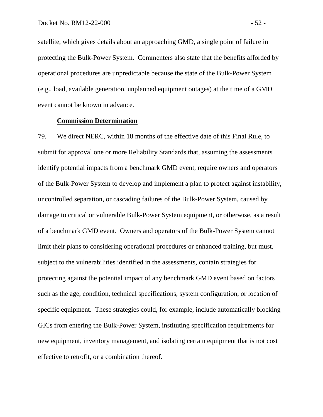satellite, which gives details about an approaching GMD, a single point of failure in protecting the Bulk-Power System. Commenters also state that the benefits afforded by operational procedures are unpredictable because the state of the Bulk-Power System (e.g., load, available generation, unplanned equipment outages) at the time of a GMD event cannot be known in advance.

# **Commission Determination**

79. We direct NERC, within 18 months of the effective date of this Final Rule, to submit for approval one or more Reliability Standards that, assuming the assessments identify potential impacts from a benchmark GMD event, require owners and operators of the Bulk-Power System to develop and implement a plan to protect against instability, uncontrolled separation, or cascading failures of the Bulk-Power System, caused by damage to critical or vulnerable Bulk-Power System equipment, or otherwise, as a result of a benchmark GMD event. Owners and operators of the Bulk-Power System cannot limit their plans to considering operational procedures or enhanced training, but must, subject to the vulnerabilities identified in the assessments, contain strategies for protecting against the potential impact of any benchmark GMD event based on factors such as the age, condition, technical specifications, system configuration, or location of specific equipment. These strategies could, for example, include automatically blocking GICs from entering the Bulk-Power System, instituting specification requirements for new equipment, inventory management, and isolating certain equipment that is not cost effective to retrofit, or a combination thereof.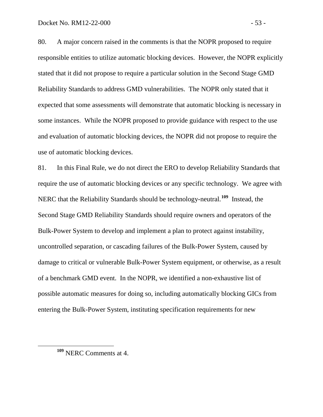80. A major concern raised in the comments is that the NOPR proposed to require responsible entities to utilize automatic blocking devices. However, the NOPR explicitly stated that it did not propose to require a particular solution in the Second Stage GMD Reliability Standards to address GMD vulnerabilities. The NOPR only stated that it expected that some assessments will demonstrate that automatic blocking is necessary in some instances. While the NOPR proposed to provide guidance with respect to the use and evaluation of automatic blocking devices, the NOPR did not propose to require the use of automatic blocking devices.

81. In this Final Rule, we do not direct the ERO to develop Reliability Standards that require the use of automatic blocking devices or any specific technology. We agree with NERC that the Reliability Standards should be technology-neutral.**[109](#page-55-0)** Instead, the Second Stage GMD Reliability Standards should require owners and operators of the Bulk-Power System to develop and implement a plan to protect against instability, uncontrolled separation, or cascading failures of the Bulk-Power System, caused by damage to critical or vulnerable Bulk-Power System equipment, or otherwise, as a result of a benchmark GMD event. In the NOPR, we identified a non-exhaustive list of possible automatic measures for doing so, including automatically blocking GICs from entering the Bulk-Power System, instituting specification requirements for new

<span id="page-55-0"></span>**<sup>109</sup>** NERC Comments at 4.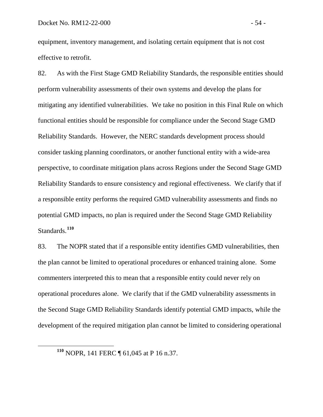equipment, inventory management, and isolating certain equipment that is not cost effective to retrofit.

82. As with the First Stage GMD Reliability Standards, the responsible entities should perform vulnerability assessments of their own systems and develop the plans for mitigating any identified vulnerabilities. We take no position in this Final Rule on which functional entities should be responsible for compliance under the Second Stage GMD Reliability Standards. However, the NERC standards development process should consider tasking planning coordinators, or another functional entity with a wide-area perspective, to coordinate mitigation plans across Regions under the Second Stage GMD Reliability Standards to ensure consistency and regional effectiveness. We clarify that if a responsible entity performs the required GMD vulnerability assessments and finds no potential GMD impacts, no plan is required under the Second Stage GMD Reliability Standards.**[110](#page-56-0)**

83. The NOPR stated that if a responsible entity identifies GMD vulnerabilities, then the plan cannot be limited to operational procedures or enhanced training alone. Some commenters interpreted this to mean that a responsible entity could never rely on operational procedures alone. We clarify that if the GMD vulnerability assessments in the Second Stage GMD Reliability Standards identify potential GMD impacts, while the development of the required mitigation plan cannot be limited to considering operational

<span id="page-56-0"></span>**<sup>110</sup>** NOPR, 141 FERC ¶ 61,045 at P 16 n.37.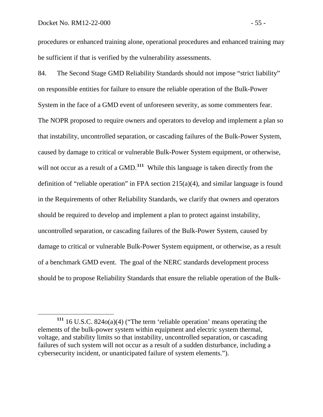procedures or enhanced training alone, operational procedures and enhanced training may be sufficient if that is verified by the vulnerability assessments.

84. The Second Stage GMD Reliability Standards should not impose "strict liability" on responsible entities for failure to ensure the reliable operation of the Bulk-Power System in the face of a GMD event of unforeseen severity, as some commenters fear. The NOPR proposed to require owners and operators to develop and implement a plan so that instability, uncontrolled separation, or cascading failures of the Bulk-Power System, caused by damage to critical or vulnerable Bulk-Power System equipment, or otherwise, will not occur as a result of a GMD.<sup>[111](#page-57-0)</sup> While this language is taken directly from the definition of "reliable operation" in FPA section 215(a)(4), and similar language is found in the Requirements of other Reliability Standards, we clarify that owners and operators should be required to develop and implement a plan to protect against instability, uncontrolled separation, or cascading failures of the Bulk-Power System, caused by damage to critical or vulnerable Bulk-Power System equipment, or otherwise, as a result of a benchmark GMD event. The goal of the NERC standards development process should be to propose Reliability Standards that ensure the reliable operation of the Bulk-

<span id="page-57-0"></span>**<sup>111</sup>** 16 U.S.C. 824o(a)(4) ("The term 'reliable operation' means operating the elements of the bulk-power system within equipment and electric system thermal, voltage, and stability limits so that instability, uncontrolled separation, or cascading failures of such system will not occur as a result of a sudden disturbance, including a cybersecurity incident, or unanticipated failure of system elements.").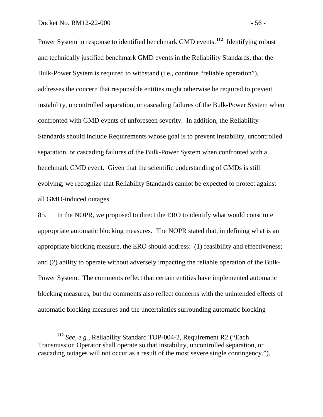Power System in response to identified benchmark GMD events.<sup>[112](#page-58-0)</sup> Identifying robust and technically justified benchmark GMD events in the Reliability Standards, that the Bulk-Power System is required to withstand (i.e., continue "reliable operation"), addresses the concern that responsible entities might otherwise be required to prevent instability, uncontrolled separation, or cascading failures of the Bulk-Power System when confronted with GMD events of unforeseen severity. In addition, the Reliability Standards should include Requirements whose goal is to prevent instability, uncontrolled separation, or cascading failures of the Bulk-Power System when confronted with a benchmark GMD event. Given that the scientific understanding of GMDs is still evolving, we recognize that Reliability Standards cannot be expected to protect against all GMD-induced outages.

85. In the NOPR, we proposed to direct the ERO to identify what would constitute appropriate automatic blocking measures. The NOPR stated that, in defining what is an appropriate blocking measure, the ERO should address: (1) feasibility and effectiveness; and (2) ability to operate without adversely impacting the reliable operation of the Bulk-Power System. The comments reflect that certain entities have implemented automatic blocking measures, but the comments also reflect concerns with the unintended effects of automatic blocking measures and the uncertainties surrounding automatic blocking

<span id="page-58-0"></span>**<sup>112</sup>** *See*, *e.g.*, Reliability Standard TOP-004-2, Requirement R2 ("Each Transmission Operator shall operate so that instability, uncontrolled separation, or cascading outages will not occur as a result of the most severe single contingency.").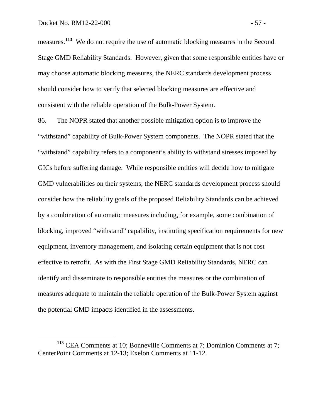measures.<sup>[113](#page-59-0)</sup> We do not require the use of automatic blocking measures in the Second Stage GMD Reliability Standards. However, given that some responsible entities have or may choose automatic blocking measures, the NERC standards development process should consider how to verify that selected blocking measures are effective and consistent with the reliable operation of the Bulk-Power System.

86. The NOPR stated that another possible mitigation option is to improve the "withstand" capability of Bulk-Power System components. The NOPR stated that the "withstand" capability refers to a component's ability to withstand stresses imposed by GICs before suffering damage. While responsible entities will decide how to mitigate GMD vulnerabilities on their systems, the NERC standards development process should consider how the reliability goals of the proposed Reliability Standards can be achieved by a combination of automatic measures including, for example, some combination of blocking, improved "withstand" capability, instituting specification requirements for new equipment, inventory management, and isolating certain equipment that is not cost effective to retrofit. As with the First Stage GMD Reliability Standards, NERC can identify and disseminate to responsible entities the measures or the combination of measures adequate to maintain the reliable operation of the Bulk-Power System against the potential GMD impacts identified in the assessments.

<span id="page-59-0"></span>**<sup>113</sup>** CEA Comments at 10; Bonneville Comments at 7; Dominion Comments at 7; CenterPoint Comments at 12-13; Exelon Comments at 11-12.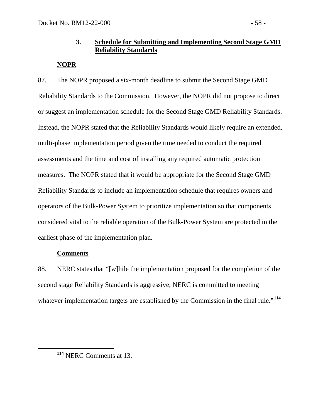# **3. Schedule for Submitting and Implementing Second Stage GMD Reliability Standards**

# **NOPR**

87. The NOPR proposed a six-month deadline to submit the Second Stage GMD Reliability Standards to the Commission. However, the NOPR did not propose to direct or suggest an implementation schedule for the Second Stage GMD Reliability Standards. Instead, the NOPR stated that the Reliability Standards would likely require an extended, multi-phase implementation period given the time needed to conduct the required assessments and the time and cost of installing any required automatic protection measures. The NOPR stated that it would be appropriate for the Second Stage GMD Reliability Standards to include an implementation schedule that requires owners and operators of the Bulk-Power System to prioritize implementation so that components considered vital to the reliable operation of the Bulk-Power System are protected in the earliest phase of the implementation plan.

# **Comments**

88. NERC states that "[w]hile the implementation proposed for the completion of the second stage Reliability Standards is aggressive, NERC is committed to meeting whatever implementation targets are established by the Commission in the final rule."<sup>[114](#page-60-0)</sup>

<span id="page-60-0"></span>**<sup>114</sup>** NERC Comments at 13.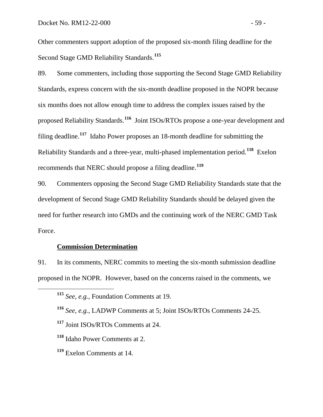Other commenters support adoption of the proposed six-month filing deadline for the Second Stage GMD Reliability Standards.**[115](#page-61-0)**

89. Some commenters, including those supporting the Second Stage GMD Reliability Standards, express concern with the six-month deadline proposed in the NOPR because six months does not allow enough time to address the complex issues raised by the proposed Reliability Standards.**[116](#page-61-1)** Joint ISOs/RTOs propose a one-year development and filing deadline.**[117](#page-61-2)** Idaho Power proposes an 18-month deadline for submitting the Reliability Standards and a three-year, multi-phased implementation period. **[118](#page-61-3)** Exelon recommends that NERC should propose a filing deadline.**[119](#page-61-4)**

90. Commenters opposing the Second Stage GMD Reliability Standards state that the development of Second Stage GMD Reliability Standards should be delayed given the need for further research into GMDs and the continuing work of the NERC GMD Task Force.

# **Commission Determination**

<span id="page-61-0"></span>91. In its comments, NERC commits to meeting the six-month submission deadline proposed in the NOPR. However, based on the concerns raised in the comments, we

**<sup>115</sup>** *See*, *e.g.*, Foundation Comments at 19.

<span id="page-61-1"></span>**<sup>116</sup>** *See*, *e.g.*, LADWP Comments at 5; Joint ISOs/RTOs Comments 24-25.

<span id="page-61-2"></span>**<sup>117</sup>** Joint ISOs/RTOs Comments at 24.

<span id="page-61-3"></span>**<sup>118</sup>** Idaho Power Comments at 2.

<span id="page-61-4"></span>**<sup>119</sup>** Exelon Comments at 14.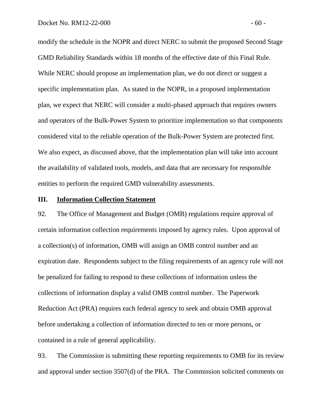modify the schedule in the NOPR and direct NERC to submit the proposed Second Stage GMD Reliability Standards within 18 months of the effective date of this Final Rule. While NERC should propose an implementation plan, we do not direct or suggest a specific implementation plan. As stated in the NOPR, in a proposed implementation plan, we expect that NERC will consider a multi-phased approach that requires owners and operators of the Bulk-Power System to prioritize implementation so that components considered vital to the reliable operation of the Bulk-Power System are protected first. We also expect, as discussed above, that the implementation plan will take into account the availability of validated tools, models, and data that are necessary for responsible entities to perform the required GMD vulnerability assessments.

#### **III. Information Collection Statement**

92. The Office of Management and Budget (OMB) regulations require approval of certain information collection requirements imposed by agency rules. Upon approval of a collection(s) of information, OMB will assign an OMB control number and an expiration date. Respondents subject to the filing requirements of an agency rule will not be penalized for failing to respond to these collections of information unless the collections of information display a valid OMB control number. The Paperwork Reduction Act (PRA) requires each federal agency to seek and obtain OMB approval before undertaking a collection of information directed to ten or more persons, or contained in a rule of general applicability.

93. The Commission is submitting these reporting requirements to OMB for its review and approval under section 3507(d) of the PRA. The Commission solicited comments on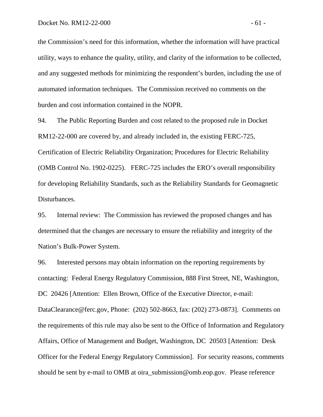the Commission's need for this information, whether the information will have practical utility, ways to enhance the quality, utility, and clarity of the information to be collected, and any suggested methods for minimizing the respondent's burden, including the use of automated information techniques. The Commission received no comments on the burden and cost information contained in the NOPR.

94. The Public Reporting Burden and cost related to the proposed rule in Docket RM12-22-000 are covered by, and already included in, the existing FERC-725, Certification of Electric Reliability Organization; Procedures for Electric Reliability (OMB Control No. 1902-0225). FERC-725 includes the ERO's overall responsibility for developing Reliability Standards, such as the Reliability Standards for Geomagnetic Disturbances.

95. Internal review: The Commission has reviewed the proposed changes and has determined that the changes are necessary to ensure the reliability and integrity of the Nation's Bulk-Power System.

96. Interested persons may obtain information on the reporting requirements by contacting: Federal Energy Regulatory Commission, 888 First Street, NE, Washington, DC 20426 [Attention: Ellen Brown, Office of the Executive Director, e-mail: DataClearance@ferc.gov, Phone: (202) 502-8663, fax: (202) 273-0873]. Comments on the requirements of this rule may also be sent to the Office of Information and Regulatory Affairs, Office of Management and Budget, Washington, DC 20503 [Attention: Desk Officer for the Federal Energy Regulatory Commission]. For security reasons, comments should be sent by e-mail to OMB at oira\_submission@omb.eop.gov. Please reference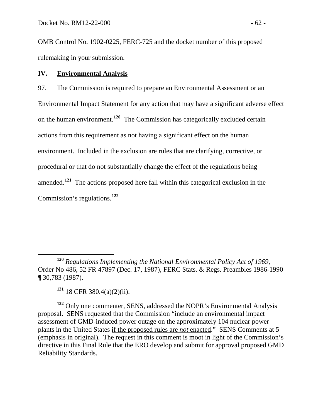OMB Control No. 1902-0225, FERC-725 and the docket number of this proposed rulemaking in your submission.

#### **IV. Environmental Analysis**

97. The Commission is required to prepare an Environmental Assessment or an Environmental Impact Statement for any action that may have a significant adverse effect on the human environment. **[120](#page-64-0)** The Commission has categorically excluded certain actions from this requirement as not having a significant effect on the human environment. Included in the exclusion are rules that are clarifying, corrective, or procedural or that do not substantially change the effect of the regulations being amended.**[121](#page-64-1)** The actions proposed here fall within this categorical exclusion in the Commission's regulations.**[122](#page-64-2)**

**<sup>121</sup>** 18 CFR 380.4(a)(2)(ii).

<span id="page-64-2"></span><span id="page-64-1"></span>**<sup>122</sup>** Only one commenter, SENS, addressed the NOPR's Environmental Analysis proposal. SENS requested that the Commission "include an environmental impact assessment of GMD-induced power outage on the approximately 104 nuclear power plants in the United States if the proposed rules are *not* enacted." SENS Comments at 5 (emphasis in original). The request in this comment is moot in light of the Commission's directive in this Final Rule that the ERO develop and submit for approval proposed GMD Reliability Standards.

<span id="page-64-0"></span>**<sup>120</sup>** *Regulations Implementing the National Environmental Policy Act of 1969*, Order No 486, 52 FR 47897 (Dec. 17, 1987), FERC Stats. & Regs. Preambles 1986-1990 ¶ 30,783 (1987).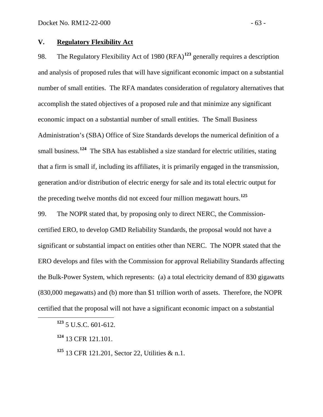### **V. Regulatory Flexibility Act**

98. The Regulatory Flexibility Act of 1980 (RFA)<sup>[123](#page-65-0)</sup> generally requires a description accomplish the stated objectives of a proposed rule and that minimize any significant and analysis of proposed rules that will have significant economic impact on a substantial number of small entities. The RFA mandates consideration of regulatory alternatives that economic impact on a substantial number of small entities. The Small Business Administration's (SBA) Office of Size Standards develops the numerical definition of a small business.<sup>[124](#page-65-1)</sup> The SBA has established a size standard for electric utilities, stating that a firm is small if, including its affiliates, it is primarily engaged in the transmission, generation and/or distribution of electric energy for sale and its total electric output for the preceding twelve months did not exceed four million megawatt hours.**[125](#page-65-2)**

99. The NOPR stated that, by proposing only to direct NERC, the Commissioncertified ERO, to develop GMD Reliability Standards, the proposal would not have a significant or substantial impact on entities other than NERC. The NOPR stated that the ERO develops and files with the Commission for approval Reliability Standards affecting the Bulk-Power System, which represents: (a) a total electricity demand of 830 gigawatts (830,000 megawatts) and (b) more than \$1 trillion worth of assets. Therefore, the NOPR certified that the proposal will not have a significant economic impact on a substantial

<span id="page-65-0"></span>**<sup>123</sup>** 5 U.S.C. 601-612.

<span id="page-65-1"></span>**<sup>124</sup>** 13 CFR 121.101.

<span id="page-65-2"></span>**<sup>125</sup>** 13 CFR 121.201, Sector 22, Utilities & n.1.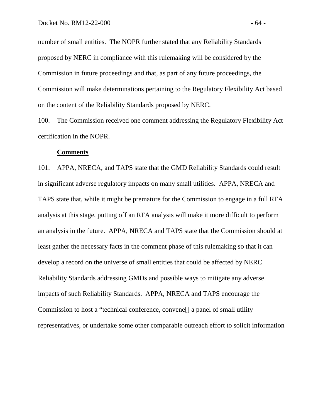number of small entities.The NOPR further stated that any Reliability Standards proposed by NERC in compliance with this rulemaking will be considered by the Commission in future proceedings and that, as part of any future proceedings, the Commission will make determinations pertaining to the Regulatory Flexibility Act based on the content of the Reliability Standards proposed by NERC.

100. The Commission received one comment addressing the Regulatory Flexibility Act certification in the NOPR.

### **Comments**

101. APPA, NRECA, and TAPS state that the GMD Reliability Standards could result in significant adverse regulatory impacts on many small utilities. APPA, NRECA and TAPS state that, while it might be premature for the Commission to engage in a full RFA analysis at this stage, putting off an RFA analysis will make it more difficult to perform an analysis in the future. APPA, NRECA and TAPS state that the Commission should at least gather the necessary facts in the comment phase of this rulemaking so that it can develop a record on the universe of small entities that could be affected by NERC Reliability Standards addressing GMDs and possible ways to mitigate any adverse impacts of such Reliability Standards. APPA, NRECA and TAPS encourage the Commission to host a "technical conference, convene[] a panel of small utility representatives, or undertake some other comparable outreach effort to solicit information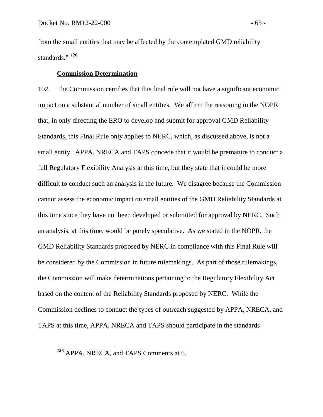from the small entities that may be affected by the contemplated GMD reliability standards."<sup>[126](#page-67-0)</sup>

# **Commission Determination**

102. The Commission certifies that this final rule will not have a significant economic impact on a substantial number of small entities. We affirm the reasoning in the NOPR that, in only directing the ERO to develop and submit for approval GMD Reliability Standards, this Final Rule only applies to NERC, which, as discussed above, is not a small entity. APPA, NRECA and TAPS concede that it would be premature to conduct a full Regulatory Flexibility Analysis at this time, but they state that it could be more difficult to conduct such an analysis in the future. We disagree because the Commission cannot assess the economic impact on small entities of the GMD Reliability Standards at this time since they have not been developed or submitted for approval by NERC. Such an analysis, at this time, would be purely speculative. As we stated in the NOPR, the GMD Reliability Standards proposed by NERC in compliance with this Final Rule will be considered by the Commission in future rulemakings. As part of those rulemakings, the Commission will make determinations pertaining to the Regulatory Flexibility Act based on the content of the Reliability Standards proposed by NERC. While the Commission declines to conduct the types of outreach suggested by APPA, NRECA, and TAPS at this time, APPA, NRECA and TAPS should participate in the standards

<span id="page-67-0"></span>**<sup>126</sup>** APPA, NRECA, and TAPS Comments at 6.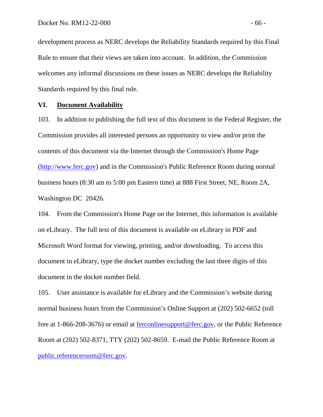development process as NERC develops the Reliability Standards required by this Final Rule to ensure that their views are taken into account. In addition, the Commission welcomes any informal discussions on these issues as NERC develops the Reliability Standards required by this final rule.

### **VI. Document Availability**

103. In addition to publishing the full text of this document in the Federal Register, the Commission provides all interested persons an opportunity to view and/or print the contents of this document via the Internet through the Commission's Home Page ([http://www.ferc.gov\)](http://www.ferc.gov/) and in the Commission's Public Reference Room during normal business hours (8:30 am to 5:00 pm Eastern time) at 888 First Street, NE, Room 2A, Washington DC 20426.

104. From the Commission's Home Page on the Internet, this information is available on eLibrary. The full text of this document is available on eLibrary in PDF and Microsoft Word format for viewing, printing, and/or downloading. To access this document in eLibrary, type the docket number excluding the last three digits of this document in the docket number field.

105. User assistance is available for eLibrary and the Commission's website during normal business hours from the Commission's Online Support at (202) 502-6652 (toll free at 1-866-208-3676) or email at [ferconlinesupport@ferc.gov,](mailto:ferconlinesupport@ferc.gov) or the Public Reference Room at (202) 502-8371, TTY (202) 502-8659. E-mail the Public Reference Room at [public.referenceroom@ferc.gov.](mailto:public.referenceroom@ferc.gov)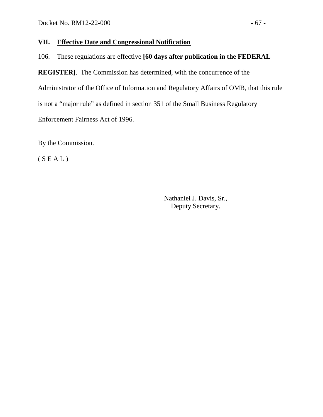### **VII. Effective Date and Congressional Notification**

106. These regulations are effective **[60 days after publication in the FEDERAL** 

**REGISTER]**. The Commission has determined, with the concurrence of the Administrator of the Office of Information and Regulatory Affairs of OMB, that this rule is not a "major rule" as defined in section 351 of the Small Business Regulatory Enforcement Fairness Act of 1996.

By the Commission.

 $(S E A L)$ 

Nathaniel J. Davis, Sr., Deputy Secretary.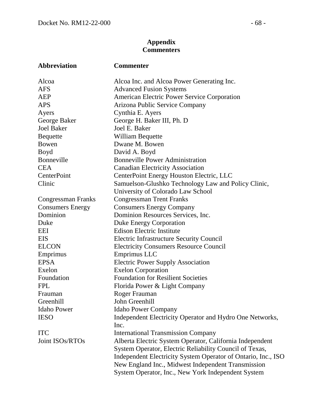# **Appendix Commenters**

| Abbreviation            | <b>Commenter</b>                                              |
|-------------------------|---------------------------------------------------------------|
| Alcoa                   | Alcoa Inc. and Alcoa Power Generating Inc.                    |
| <b>AFS</b>              | <b>Advanced Fusion Systems</b>                                |
| <b>AEP</b>              | <b>American Electric Power Service Corporation</b>            |
| <b>APS</b>              | Arizona Public Service Company                                |
| Ayers                   | Cynthia E. Ayers                                              |
| George Baker            | George H. Baker III, Ph. D                                    |
| <b>Joel Baker</b>       | Joel E. Baker                                                 |
| <b>Bequette</b>         | William Bequette                                              |
| Bowen                   | Dwane M. Bowen                                                |
| Boyd                    | David A. Boyd                                                 |
| Bonneville              | <b>Bonneville Power Administration</b>                        |
| <b>CEA</b>              | <b>Canadian Electricity Association</b>                       |
| CenterPoint             | CenterPoint Energy Houston Electric, LLC                      |
| Clinic                  | Samuelson-Glushko Technology Law and Policy Clinic,           |
|                         | University of Colorado Law School                             |
| Congressman Franks      | <b>Congressman Trent Franks</b>                               |
| <b>Consumers Energy</b> | <b>Consumers Energy Company</b>                               |
| Dominion                | Dominion Resources Services, Inc.                             |
| Duke                    | <b>Duke Energy Corporation</b>                                |
| EEI                     | <b>Edison Electric Institute</b>                              |
| <b>EIS</b>              | <b>Electric Infrastructure Security Council</b>               |
| <b>ELCON</b>            | <b>Electricity Consumers Resource Council</b>                 |
| Emprimus                | Emprimus LLC                                                  |
| <b>EPSA</b>             | <b>Electric Power Supply Association</b>                      |
| Exelon                  | <b>Exelon Corporation</b>                                     |
| Foundation              | <b>Foundation for Resilient Societies</b>                     |
| <b>FPL</b>              | Florida Power & Light Company                                 |
| Frauman                 | Roger Frauman                                                 |
| Greenhill               | John Greenhill                                                |
| <b>Idaho Power</b>      | <b>Idaho Power Company</b>                                    |
| <b>IESO</b>             | Independent Electricity Operator and Hydro One Networks,      |
|                         | Inc.                                                          |
| <b>ITC</b>              | <b>International Transmission Company</b>                     |
| Joint ISOs/RTOs         | Alberta Electric System Operator, California Independent      |
|                         | System Operator, Electric Reliability Council of Texas,       |
|                         | Independent Electricity System Operator of Ontario, Inc., ISO |
|                         | New England Inc., Midwest Independent Transmission            |
|                         | System Operator, Inc., New York Independent System            |